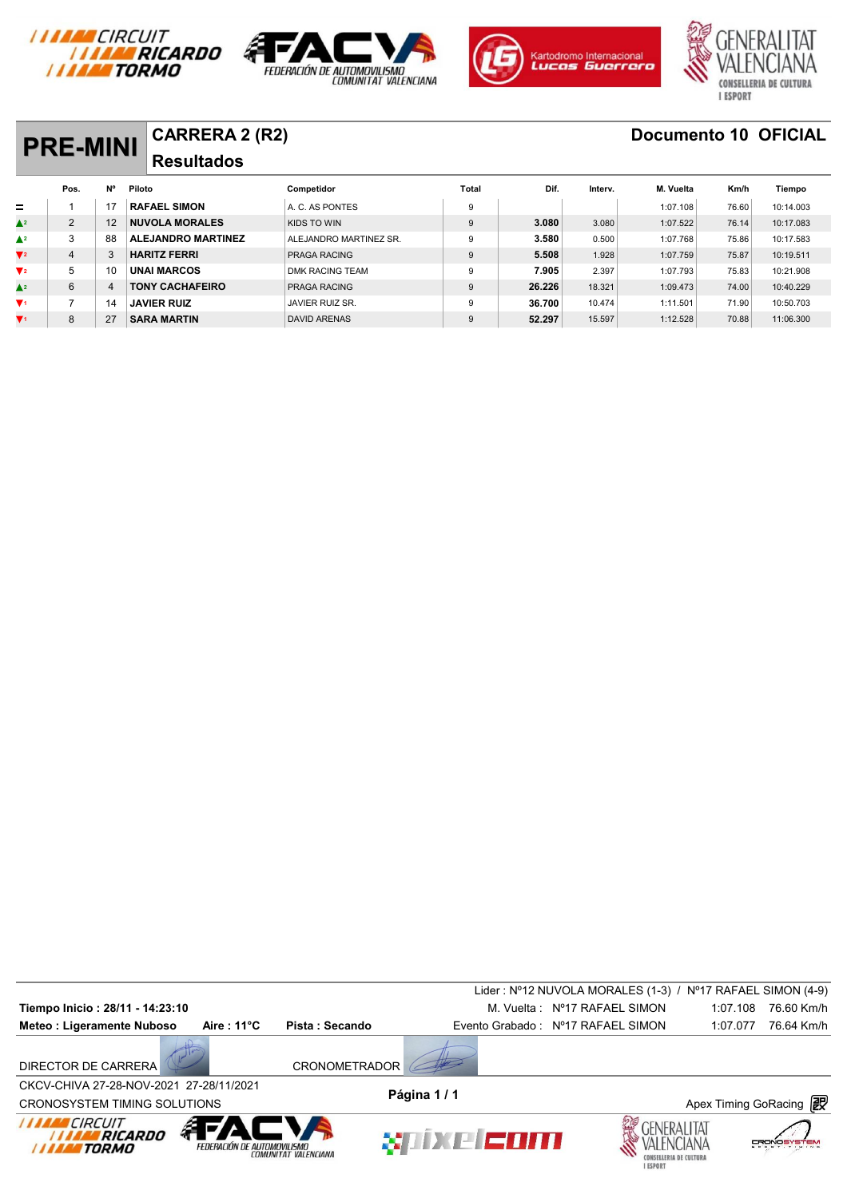







## **PRE-MINI** CARRERA 2 (R2) **Documento 10 OFICIAL Pos. Nº Piloto Competidor** Competidor Total Dif. Interv. M. Vuelta Km/h Tiempo **Resultados**   $\pm$

| $=$                               |   |    | <b>RAFAEL SIMON</b>       | A. C. AS PONTES        |        |        | 1:07.108 | 76.60 | 10:14.003 |
|-----------------------------------|---|----|---------------------------|------------------------|--------|--------|----------|-------|-----------|
| $\triangle^2$                     | C | 12 | <b>NUVOLA MORALES</b>     | KIDS TO WIN            | 3.080  | 3.080  | 1:07.522 | 76.14 | 10:17.083 |
| $\blacktriangle^2$                | ົ | 88 | <b>ALEJANDRO MARTINEZ</b> | ALEJANDRO MARTINEZ SR. | 3.580  | 0.500  | 1:07.768 | 75.86 | 10:17.583 |
| $\blacktriangledown$ <sub>2</sub> |   |    | <b>HARITZ FERRI</b>       | <b>PRAGA RACING</b>    | 5.508  | 1.928  | 1:07.759 | 75.87 | 10:19.511 |
| $V_{2}$                           |   | 10 | <b>UNAI MARCOS</b>        | DMK RACING TEAM        | 7.905  | 2.397  | 1:07.793 | 75.83 | 10:21.908 |
| $\triangle^2$                     | 6 |    | <b>TONY CACHAFEIRO</b>    | <b>PRAGA RACING</b>    | 26.226 | 18.321 | 1:09.473 | 74.00 | 10:40.229 |
| $\mathbf{V}$                      |   |    | JAVIER RUIZ               | JAVIER RUIZ SR.        | 36.700 | 10.474 | 1:11.501 | 71.90 | 10:50.703 |
| $\blacktriangledown$ <sub>1</sub> | 8 | 27 | <b>SARA MARTIN</b>        | <b>DAVID ARENAS</b>    | 52.297 | 15.597 | 1:12.528 | 70.88 | 11:06.300 |

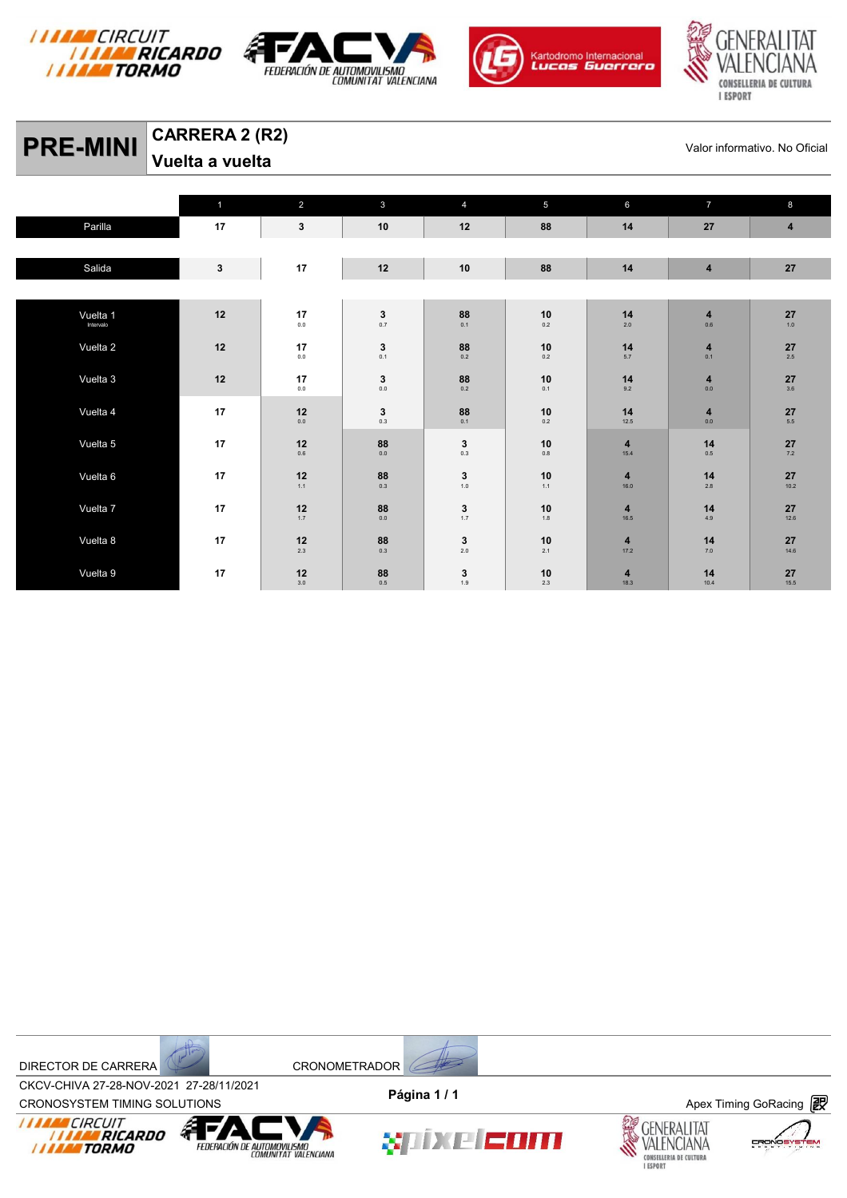







# **PRE-MINI** CARRERA 2 (R2) Valor informativo. No Oficial Valor informativo. No Oficial

**Vuelta a vuelta** 

|           | $\mathbf{1}$ | $\overline{2}$                                                | $\mathbf{3}$                  | $\overline{4}$                                            | 5                                              | 6                               | $\overline{7}$                     | 8                                       |
|-----------|--------------|---------------------------------------------------------------|-------------------------------|-----------------------------------------------------------|------------------------------------------------|---------------------------------|------------------------------------|-----------------------------------------|
| Parilla   | 17           | $\mathbf{3}$                                                  | 10                            | 12                                                        | 88                                             | 14                              | 27                                 | $\overline{\mathbf{4}}$                 |
|           |              |                                                               |                               |                                                           |                                                |                                 |                                    |                                         |
| Salida    | $\mathbf{3}$ | 17                                                            | 12                            | 10                                                        | 88                                             | 14                              | $\overline{\mathbf{4}}$            | 27                                      |
|           |              |                                                               |                               |                                                           |                                                |                                 |                                    |                                         |
| Vuelta 1  | 12           | 17                                                            | $\mathbf{3}_{_{0.7}}$         | 88                                                        | 10                                             | 14                              | $\overline{\mathbf{4}}$            | $\mathbf{27}_{\scriptscriptstyle{1.0}}$ |
| Intervalo |              | $0.0\,$                                                       |                               | 0.1                                                       | $0.2\,$                                        | $2.0\,$                         | $0.6\,$                            |                                         |
| Vuelta 2  | 12           | 17<br>$0.0\,$                                                 | $\mathbf{3}_{_{0.1}}$         | 88<br>0.2                                                 | 10<br>$0.2\,$                                  | 14<br>$5.7\,$                   | $\overline{\mathbf{4}}$<br>0.1     | 27<br>$2.5\,$                           |
|           |              |                                                               |                               |                                                           |                                                |                                 |                                    |                                         |
| Vuelta 3  | $12$         | 17<br>$0.0\,$                                                 | $\mathbf 3$<br>0.0            | 88<br>0.2                                                 | 10<br>0.1                                      | 14<br>9.2                       | $\overline{\mathbf{4}}$<br>$0.0\,$ | 27<br>3.6                               |
| Vuelta 4  | 17           | 12                                                            | $\mathbf{3}_{_{0.3}}$         | $\mathbf{88}_{_{\mathrm{0.1}}}$                           | $\mathop{10}\limits_{\scriptscriptstyle{0.2}}$ | 14                              | $\overline{\mathbf{4}}$            | 27                                      |
|           |              | $0.0\,$                                                       |                               |                                                           |                                                | 12.5                            | $0.0\,$                            | 5.5                                     |
| Vuelta 5  | 17           | 12<br>$0.6\,$                                                 | $\mathbf{88}_{_{\text{0.0}}}$ | 3<br>0.3                                                  | 10<br>$0.8\,$                                  | 4<br>15.4                       | 14<br>$0.5\,$                      | 27<br>$7.2$                             |
|           |              |                                                               |                               |                                                           |                                                |                                 |                                    |                                         |
| Vuelta 6  | 17           | $\begin{array}{c} \n\textbf{12} \\ \textbf{1.1}\n\end{array}$ | $\mathbf{88}_{_{0.3}}$        | $\begin{array}{c} \textbf{3} \\ \textbf{1.0} \end{array}$ | $10$ <sub>1.1</sub>                            | $\overline{\mathbf{4}}$<br>16.0 | 14<br>$2.8\,$                      | 27<br>10.2                              |
| Vuelta 7  | 17           | 12                                                            |                               | $\mathbf 3$                                               | 10                                             | 4                               | 14                                 | 27                                      |
|           |              | $1.7\,$                                                       | $\mathbf{88}_{_{\text{0.0}}}$ | 1.7                                                       | 1.8                                            | 16.5                            | 4.9                                | 12.6                                    |
| Vuelta 8  | 17           | $12$                                                          | $\mathbf{88}_{_{0.3}}$        | $\mathbf{3}_{2.0}$                                        | $10\,$                                         | $\overline{\mathbf{4}}$         | 14                                 | 27                                      |
|           |              | 2.3                                                           |                               |                                                           | 2.1                                            | 17.2                            | $7.0\,$                            | 14.6                                    |
| Vuelta 9  | 17           | 12<br>$3.0\,$                                                 | $\underset{0.5}{\textbf{88}}$ | $\mathbf 3$<br>1.9                                        | 10<br>$2.3\,$                                  | 4<br>18.3                       | 14<br>10.4                         | 27<br>15.5                              |



CROV-CHIVA 27-20-NOV-2021 27-20711/2021<br>CRONOSYSTEM TIMING SOLUTIONS **Apex Timing GoRacing** CKCV-CHIVA 27-28-NOV-2021 27-28/11/2021 **Página 1 / 1**



FEDERACIÓN DE AUTOMOVILISMO

XIIXE EOM



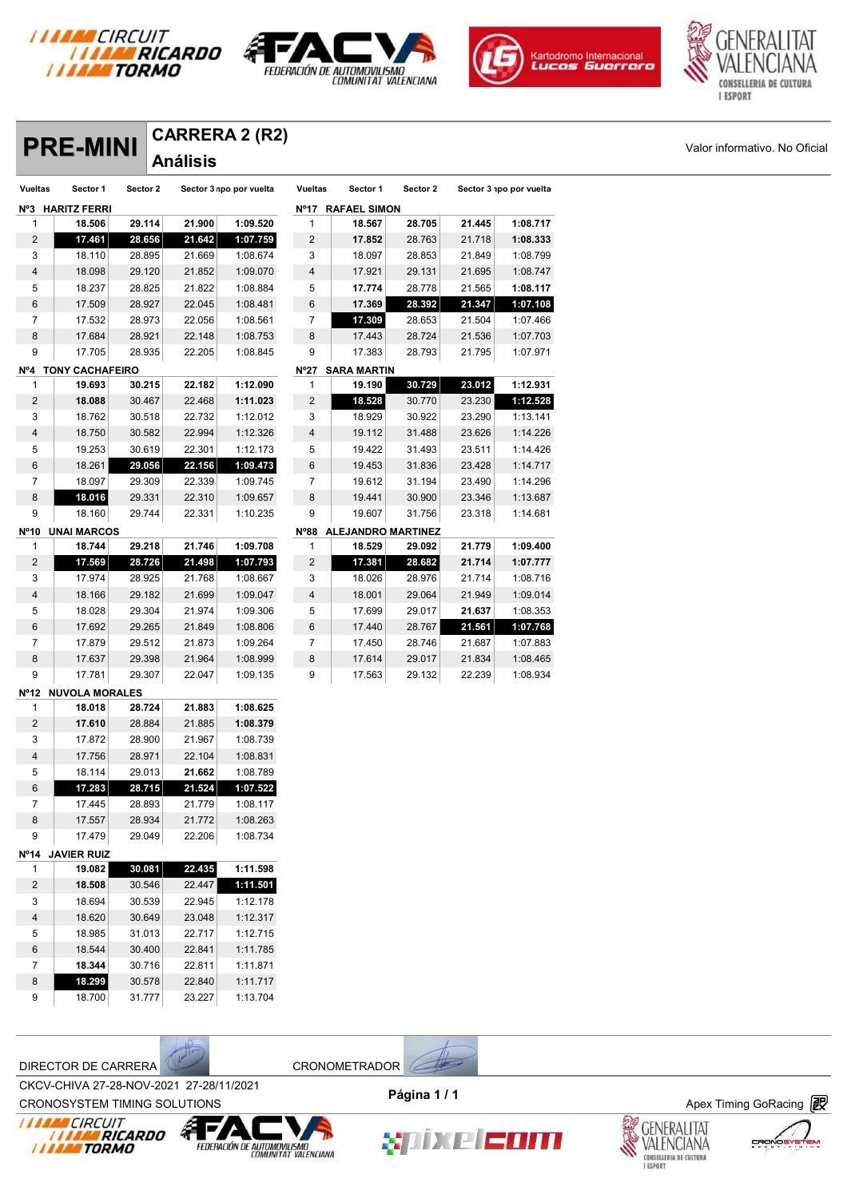







# **Análisis**

|                |                            |                  | <b>Análisis</b>  |                         |                |                         |          |        |                         |  |
|----------------|----------------------------|------------------|------------------|-------------------------|----------------|-------------------------|----------|--------|-------------------------|--|
| <b>Vueltas</b> | Sector 1                   | Sector 2         |                  | Sector 3 npo por vuelta | <b>Vueltas</b> | Sector 1                | Sector 2 |        | Sector 3 npo por vuelta |  |
|                | Nº3 HARITZ FERRI           |                  |                  |                         |                | Nº17 RAFAEL SIMON       |          |        |                         |  |
| 1              | 18.506                     | 29.114           | 21.900           | 1:09.520                | $\mathbf{1}$   | 18.567                  | 28.705   | 21.445 | 1:08.717                |  |
| $\overline{c}$ | 17.461                     | 28.656           | 21.642           | 1:07.759                | $\overline{a}$ | 17.852                  | 28.763   | 21.718 | 1:08.333                |  |
| 3              | 18.110                     | 28.895           | 21.669           | 1:08.674                | 3              | 18.097                  | 28.853   | 21.849 | 1:08.799                |  |
| 4              | 18.098                     | 29.120           | 21.852           | 1:09.070                | $\overline{4}$ | 17.921                  | 29.131   | 21.695 | 1:08.747                |  |
| 5              | 18.237                     | 28.825           | 21.822           | 1:08.884                | 5              | 17.774                  | 28.778   | 21.565 | 1:08.117                |  |
| 6              | 17.509                     | 28.927           | 22.045           | 1:08.481                | 6              | 17.369                  | 28.392   | 21.347 | 1:07.108                |  |
| $\overline{7}$ | 17.532                     | 28.973           | 22.056           | 1:08.561                | 7              | 17.309                  | 28.653   | 21.504 | 1:07.466                |  |
| 8              | 17.684                     | 28.921           | 22.148           | 1:08.753                | 8              | 17.443                  | 28.724   | 21.536 | 1:07.703                |  |
| 9              | 17.705                     | 28.935           | 22.205           | 1:08.845                | 9              | 17.383                  | 28.793   | 21.795 | 1:07.971                |  |
|                | Nº4 TONY CACHAFEIRO        |                  |                  |                         |                | Nº27 SARA MARTIN        |          |        |                         |  |
| 1              | 19.693                     | 30.215           | 22.182           | 1:12.090                | $\mathbf{1}$   | 19.190                  | 30.729   | 23.012 | 1:12.931                |  |
| $\overline{c}$ | 18.088                     | 30.467           | 22.468           | 1:11.023                | $\overline{2}$ | 18.528                  | 30.770   | 23.230 | 1:12.528                |  |
| 3              | 18.762                     | 30.518           | 22.732           | 1:12.012                | 3              | 18.929                  | 30.922   | 23.290 | 1:13.141                |  |
| 4              | 18.750                     | 30.582           | 22.994           | 1:12.326                | 4              | 19.112                  | 31.488   | 23.626 | 1:14.226                |  |
| 5              | 19.253                     | 30.619           | 22.301           | 1:12.173                | 5              | 19.422                  | 31.493   | 23.511 | 1:14.426                |  |
| 6              | 18.261                     | 29.056           | 22.156           | 1:09.473                | 6              | 19.453                  | 31.836   | 23.428 | 1:14.717                |  |
| $\overline{7}$ | 18.097                     | 29.309           | 22.339           | 1:09.745                | 7              | 19.612                  | 31.194   | 23.490 | 1:14.296                |  |
| 8              | 18.016                     | 29.331           | 22.310           | 1:09.657                | 8              | 19.441                  | 30.900   | 23.346 | 1:13.687                |  |
| 9              | 18.160                     | 29.744           | 22.331           | 1:10.235                | 9              | 19.607                  | 31.756   | 23.318 | 1:14.681                |  |
|                | Nº10 UNAI MARCOS           |                  |                  |                         |                | Nº88 ALEJANDRO MARTINEZ |          |        |                         |  |
| 1              | 18.744                     | 29.218           | 21.746           | 1:09.708                | $\mathbf{1}$   | 18.529                  | 29.092   | 21.779 | 1:09.400                |  |
| $\sqrt{2}$     | 17.569                     | 28.726           | 21.498           | 1:07.793                | $\overline{c}$ | 17.381                  | 28.682   | 21.714 | 1:07.777                |  |
| 3              | 17.974                     | 28.925           | 21.768           | 1:08.667                | 3              | 18.026                  | 28.976   | 21.714 | 1:08.716                |  |
| 4              | 18.166                     | 29.182           | 21.699           | 1:09.047                | $\overline{4}$ | 18.001                  | 29.064   | 21.949 | 1:09.014                |  |
| 5              | 18.028                     | 29.304           | 21.974           | 1:09.306                | 5              | 17.699                  | 29.017   | 21.637 | 1:08.353                |  |
| 6              | 17.692                     | 29.265           | 21.849           | 1:08.806                | 6              | 17.440                  | 28.767   | 21.561 | 1:07.768                |  |
| $\overline{7}$ | 17.879                     | 29.512           | 21.873           | 1:09.264                | 7              | 17.450                  | 28.746   | 21.687 | 1:07.883                |  |
| 8              | 17.637                     | 29.398           | 21.964           | 1:08.999                | 8              | 17.614                  | 29.017   | 21.834 | 1:08.465                |  |
| 9              | 17.781                     | 29.307           | 22.047           | 1:09.135                | 9              | 17.563                  | 29.132   | 22.239 | 1:08.934                |  |
|                | Nº12 NUVOLA MORALES        |                  |                  |                         |                |                         |          |        |                         |  |
| 1              | 18.018                     | 28.724           | 21.883           | 1:08.625                |                |                         |          |        |                         |  |
| $\overline{2}$ | 17.610                     | 28.884           | 21.885           | 1:08.379                |                |                         |          |        |                         |  |
| 3              | 17.872                     | 28.900           | 21.967           | 1:08.739                |                |                         |          |        |                         |  |
| 4              | 17.756                     | 28.971           | 22.104           | 1:08.831                |                |                         |          |        |                         |  |
| 5<br>6         | 18.114<br>17.283           | 29.013<br>28.715 | 21.662<br>21.524 | 1:08.789<br>1:07.522    |                |                         |          |        |                         |  |
| $\overline{7}$ | 17.445                     | 28.893           | 21.779           | 1:08.117                |                |                         |          |        |                         |  |
| $\bf 8$        | 17.557                     | 28.934           | 21.772           | 1:08.263                |                |                         |          |        |                         |  |
| 9              | 17.479                     | 29.049           | 22.206           | 1:08.734                |                |                         |          |        |                         |  |
|                |                            |                  |                  |                         |                |                         |          |        |                         |  |
| 1              | Nº14 JAVIER RUIZ<br>19.082 | 30.081           | 22.435           | 1:11.598                |                |                         |          |        |                         |  |
| $\overline{2}$ | 18.508                     | 30.546           | 22.447           | 1:11.501                |                |                         |          |        |                         |  |
| 3              | 18.694                     | 30.539           | 22.945           | 1:12.178                |                |                         |          |        |                         |  |
| 4              | 18.620                     | 30.649           | 23.048           | 1:12.317                |                |                         |          |        |                         |  |
| 5              | 18.985                     | 31.013           | 22.717           | 1:12.715                |                |                         |          |        |                         |  |
| 6              | 18.544                     | 30.400           | 22.841           | 1:11.785                |                |                         |          |        |                         |  |
| $\overline{7}$ | 18.344                     | 30.716           | 22.811           | 1:11.871                |                |                         |          |        |                         |  |
| 8              | 18.299                     | 30.578           | 22.840           | 1:11.717                |                |                         |          |        |                         |  |
| 9              | 18.700                     | 31.777           | 23.227           | 1:13.704                |                |                         |          |        |                         |  |

DIRECTOR DE CARRERA CRONOMETRADOR

CROV-CHIVA 27-20-NOV-2021 27-20711/2021<br>CRONOSYSTEM TIMING SOLUTIONS **Apex Timing GoRacing** CKCV-CHIVA 27-28-NOV-2021 27-28/11/2021





xnixe Enm



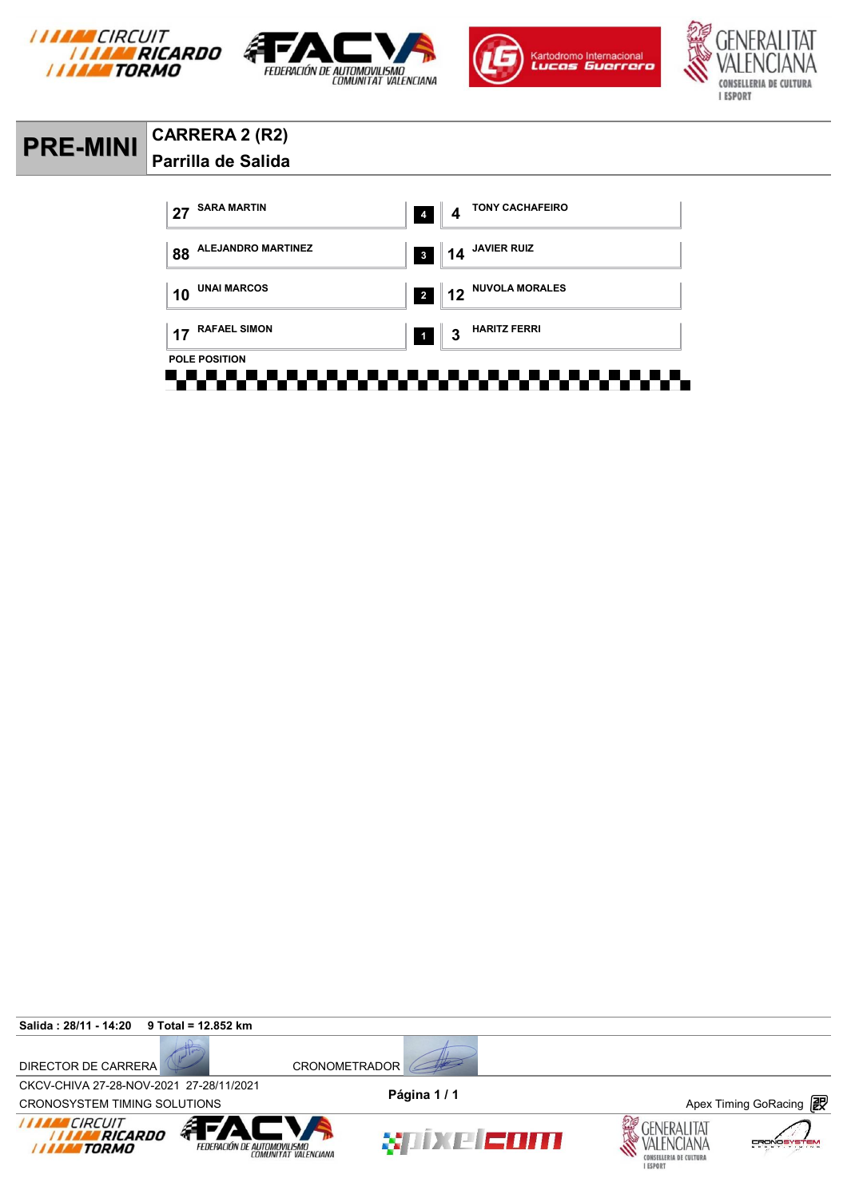







### **PRE-MINI CARRERA 2 (R2) Parrilla de Salida**



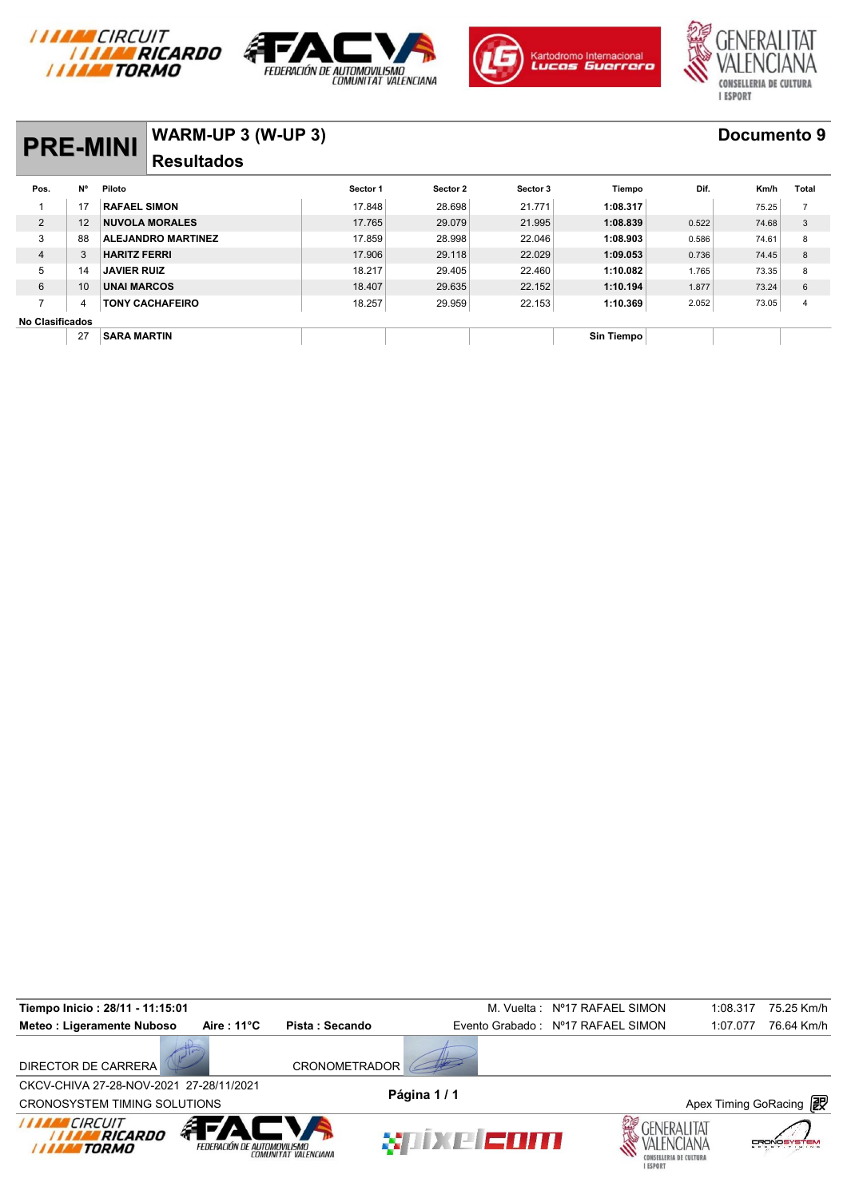







## **PRE-MINI WARM-UP 3 (W-UP 3) Documento 9 Resultados**

|                        | <b>PRE-MINI</b> |                           | <b>VYARIVI-UF J (VY-UF J)</b> |          |          |            |       |       |                |  |  |  |  |
|------------------------|-----------------|---------------------------|-------------------------------|----------|----------|------------|-------|-------|----------------|--|--|--|--|
|                        |                 | <b>Resultados</b>         |                               |          |          |            |       |       |                |  |  |  |  |
| Pos.                   | N°              | Piloto                    | Sector 1                      | Sector 2 | Sector 3 | Tiempo     | Dif.  | Km/h  | Total          |  |  |  |  |
|                        | 17              | <b>RAFAEL SIMON</b>       | 17.848                        | 28.698   | 21.771   | 1:08.317   |       | 75.25 | 7              |  |  |  |  |
| 2                      | 12              | <b>NUVOLA MORALES</b>     | 17.765                        | 29.079   | 21.995   | 1:08.839   | 0.522 | 74.68 | 3              |  |  |  |  |
| 3                      | 88              | <b>ALEJANDRO MARTINEZ</b> | 17.859                        | 28.998   | 22.046   | 1:08.903   | 0.586 | 74.61 | 8              |  |  |  |  |
| $\overline{4}$         | 3               | <b>HARITZ FERRI</b>       | 17.906                        | 29.118   | 22.029   | 1:09.053   | 0.736 | 74.45 | 8              |  |  |  |  |
| 5                      | 14              | <b>JAVIER RUIZ</b>        | 18.217                        | 29.405   | 22.460   | 1:10.082   | 1.765 | 73.35 | 8              |  |  |  |  |
| 6                      | 10              | <b>UNAI MARCOS</b>        | 18.407                        | 29.635   | 22.152   | 1:10.194   | 1.877 | 73.24 | 6              |  |  |  |  |
| ⇁                      | 4               | <b>TONY CACHAFEIRO</b>    | 18.257                        | 29.959   | 22.153   | 1:10.369   | 2.052 | 73.05 | $\overline{4}$ |  |  |  |  |
| <b>No Clasificados</b> |                 |                           |                               |          |          |            |       |       |                |  |  |  |  |
|                        | 27              | <b>SARA MARTIN</b>        |                               |          |          | Sin Tiempo |       |       |                |  |  |  |  |

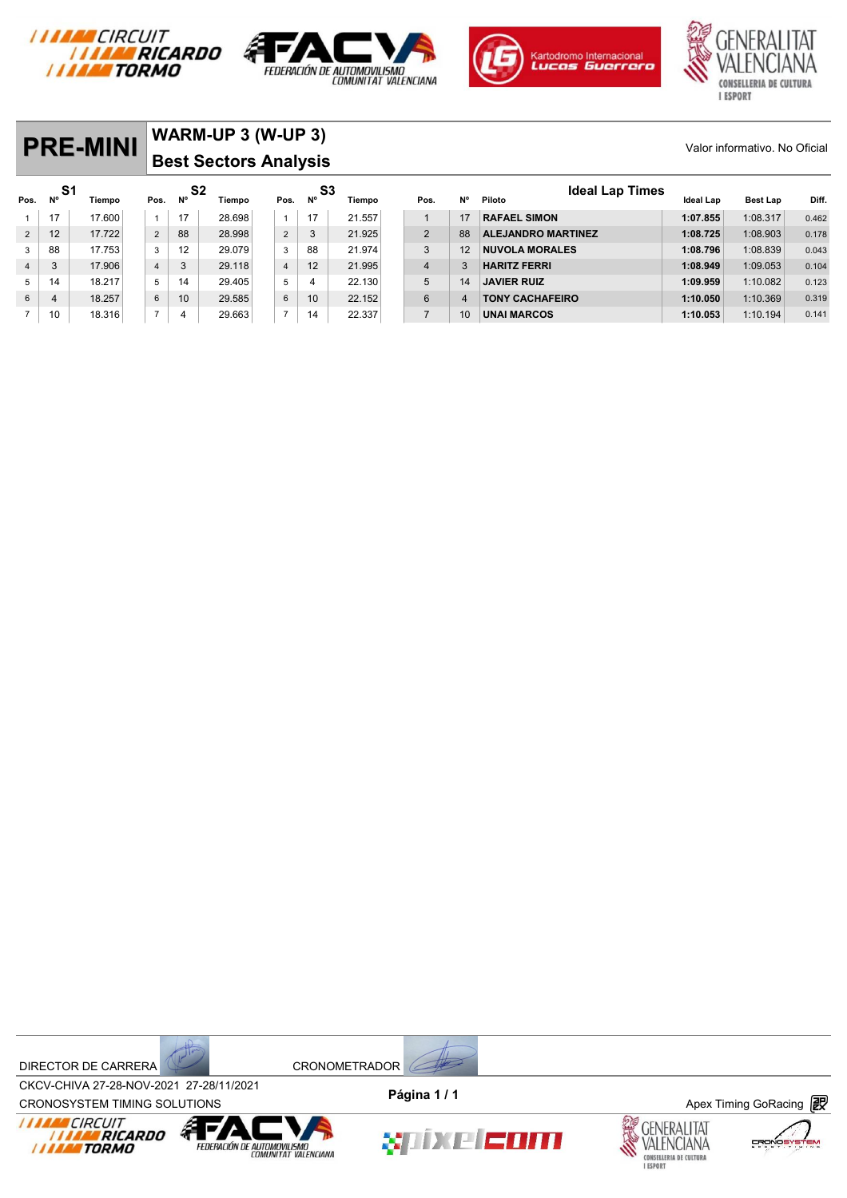



 3 17.906 4 3 29.118 4 12 21.995 4 3 **HARITZ FERRI 1:08.949** 1:09.053 0.104 14 18.217 5 14 29.405 5 4 22.130 5 14 **JAVIER RUIZ 1:09.959** 1:10.082 0.123 4 18.257 6 10 29.585 6 10 22.152 6 4 **TONY CACHAFEIRO 1:10.050** 1:10.369 0.319 10 18.316 7 4 29.663 7 14 22.337 7 10 **UNAI MARCOS 1:10.053** 1:10.194 0.141





## **PRE-MINI** WARM-UP 3 (W-UP 3) Valor informativo. No Oficial **Best Sectors Analysis**  E-MINI WARM-UP 3 (W-UP 3)<br>Best Sectors Analysis<br>S1 Tiempo Pos. N<sup>o S2</sup> Tiempo Pos. N<sup>o S3</sup> Tiempo Pos. N<sup>o</sup> Piloto Ideal Lap Times Ideal La Valor informativo. No Oficial<br>Pos. N<sup>o</sup> Tiempo Pos. N<sup>o S2</sup> Tiempo Pos. N<sup>o S3</sup> Tiempo Pos. N<sup>o</sup> Piloto **Ideal Lap Times**<br>1 17 17 17 17 28.698 1 1 17 21.557 1 1 17 RAFAEL SIMON 1:07.855 1:08.317 0.462 2 12 17.722 2 88 28.998 2 3 21.925 2 88 **ALEJANDRO MARTINEZ 1:08.725** 1:08.903 0.178 3 88 17.753 3 12 29.079 3 88 21.974 3 12 **NUVOLA MORALES 1:08.796** 1:08.839 0.043

DIRECTOR DE CARRERA CRONOMETRADOR



CROV-CHIVA 27-20-NOV-2021 27-20711/2021<br>CRONOSYSTEM TIMING SOLUTIONS **Apex Timing GoRacing** CKCV-CHIVA 27-28-NOV-2021 27-28/11/2021 **Página 1 / 1**









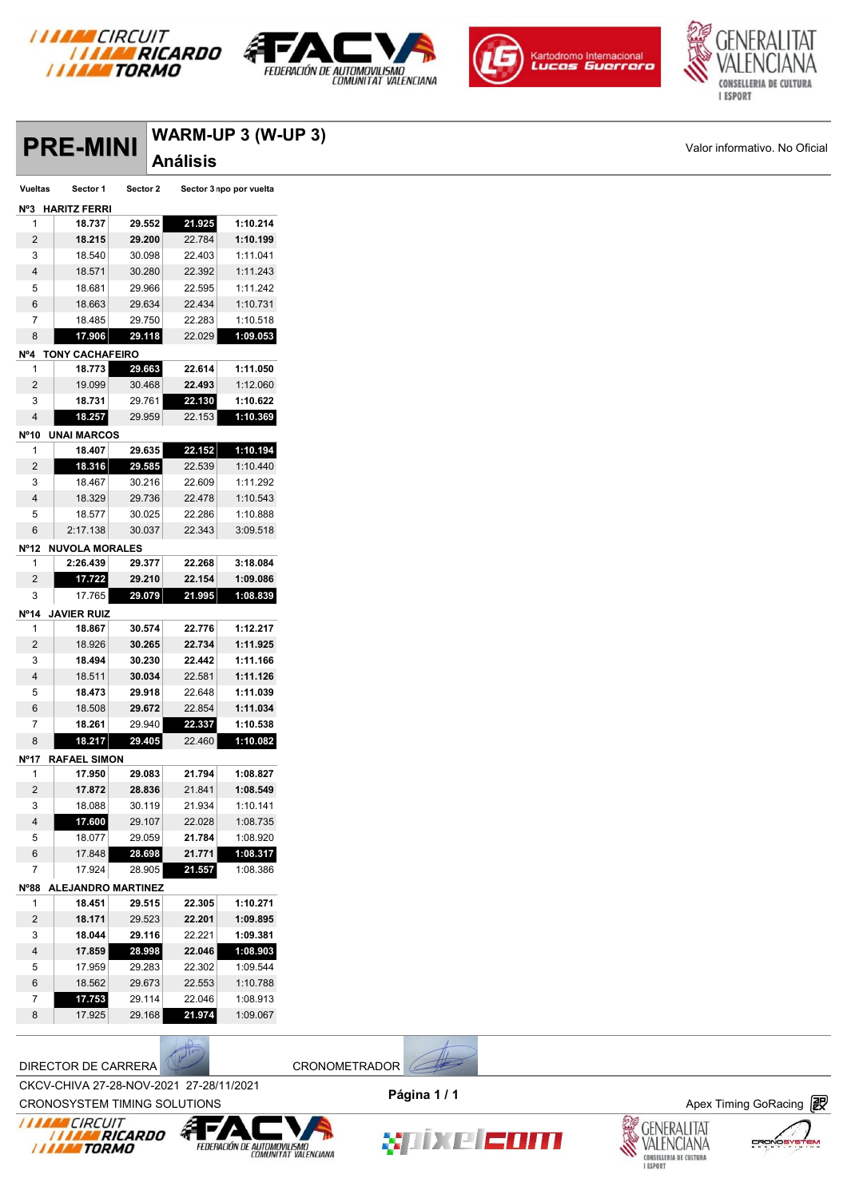







**PRE-MINI** WARM-UP 3 (W-UP 3)<br> **Valor informativo. No Oficial**<br>
Vueltas Sector 1 Sector 2 Sector 3 npo por vuelta **Análisis Nº3 HARITZ FERRI 18.737 29.552 21.925 1:10.214 18.215 29.200** 22.784 **1:10.199** 18.540 30.098 22.403 1:11.041 18.571 30.280 22.392 1:11.243 18.681 29.966 22.595 1:11.242 18.663 29.634 22.434 1:10.731 18.485 29.750 22.283 1:10.518 **17.906 29.118** 22.029 **1:09.053 Nº4 TONY CACHAFEIRO 18.773 29.663 22.614 1:11.050** 19.099 30.468 **22.493** 1:12.060 **18.731** 29.761 **22.130 1:10.622 18.257** 29.959 22.153 **1:10.369 Nº10 UNAI MARCOS 18.407 29.635 22.152 1:10.194 18.316 29.585** 22.539 1:10.440 18.467 30.216 22.609 1:11.292 18.329 29.736 22.478 1:10.543 18.577 30.025 22.286 1:10.888 2:17.138 30.037 22.343 3:09.518 **Nº12 NUVOLA MORALES 2:26.439 29.377 22.268 3:18.084 17.722 29.210 22.154 1:09.086** 17.765 **29.079 21.995 1:08.839 Nº14 JAVIER RUIZ 18.867 30.574 22.776 1:12.217** 18.926 **30.265 22.734 1:11.925 18.494 30.230 22.442 1:11.166** 18.511 **30.034** 22.581 **1:11.126 18.473 29.918** 22.648 **1:11.039** 18.508 **29.672** 22.854 **1:11.034 18.261** 29.940 **22.337 1:10.538 18.217 29.405** 22.460 **1:10.082 Nº17 RAFAEL SIMON 17.950 29.083 21.794 1:08.827 17.872 28.836** 21.841 **1:08.549** 18.088 30.119 21.934 1:10.141 **17.600** 29.107 22.028 1:08.735 18.077 29.059 **21.784** 1:08.920 17.848 **28.698 21.771 1:08.317** 17.924 28.905 **21.557** 1:08.386 **Nº88 ALEJANDRO MARTINEZ 18.451 29.515 22.305 1:10.271 18.171** 29.523 **22.201 1:09.895 18.044 29.116** 22.221 **1:09.381 17.859 28.998 22.046 1:08.903** 17.959 29.283 22.302 1:09.544 18.562 29.673 22.553 1:10.788 **17.753** 29.114 22.046 1:08.913 17.925 29.168 **21.974** 1:09.067

DIRECTOR DE CARRERA CRONOMETRADOR

CKCV-CHIVA 27-28-NOV-2021 27-28/11/2021 **Página 1 / 1**



CROV-CHIVA 27-26-NOV-2021 27-26/11/2021<br>CRONOSYSTEM TIMING SOLUTIONS **Apex Timing GoRacing** 









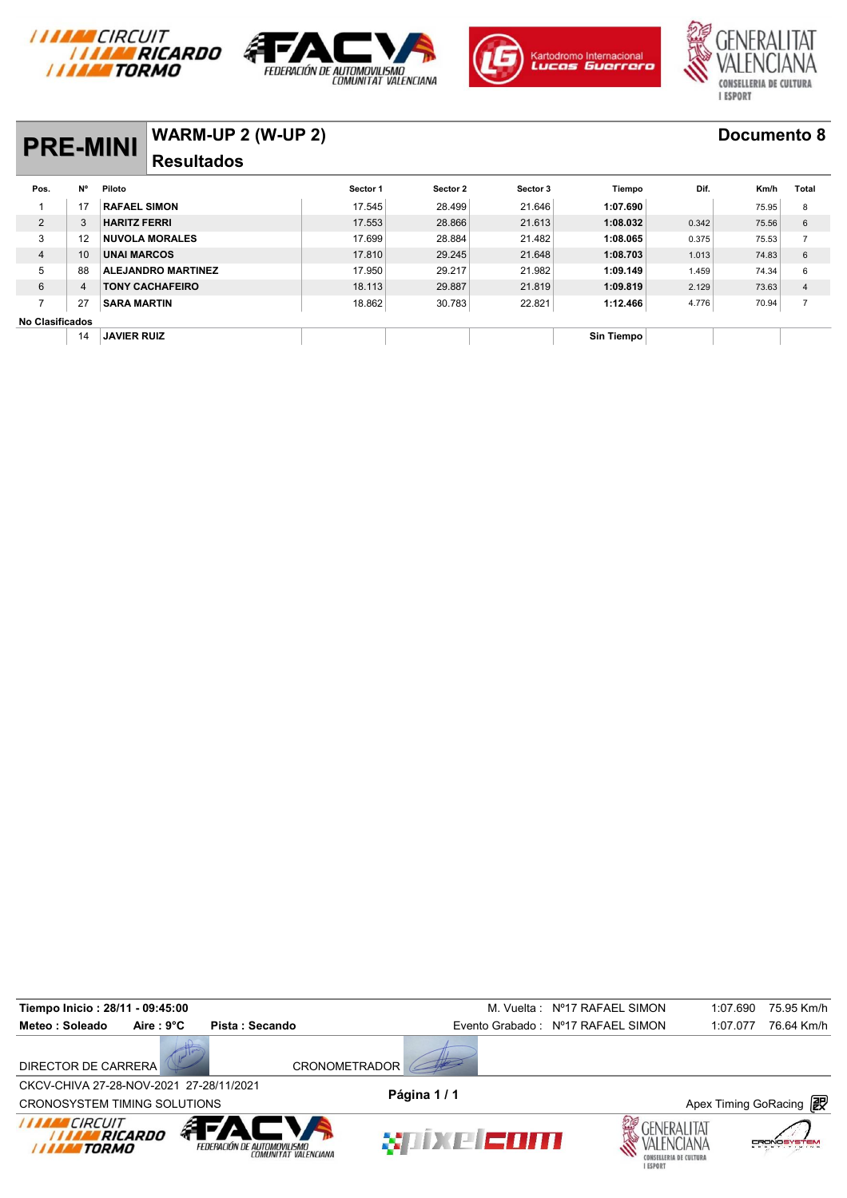







# **PRE-MINI WARM-UP 2 (W-UP 2) Documento 8**

#### **Resultados**

|                        | <b>PRE-MINI</b> |                           | <b>VVARIVI-UF 4 (VV-UF 4)</b> |          |          |            |       |       |                |  |  |  |
|------------------------|-----------------|---------------------------|-------------------------------|----------|----------|------------|-------|-------|----------------|--|--|--|
|                        |                 | <b>Resultados</b>         |                               |          |          |            |       |       |                |  |  |  |
| Pos.                   | <b>N°</b>       | Piloto                    | Sector 1                      | Sector 2 | Sector 3 | Tiempo     | Dif.  | Km/h  | Total          |  |  |  |
|                        | 17              | <b>RAFAEL SIMON</b>       | 17.545                        | 28.499   | 21.646   | 1:07.690   |       | 75.95 | 8              |  |  |  |
| $\overline{2}$         | 3               | <b>HARITZ FERRI</b>       | 17.553                        | 28.866   | 21.613   | 1:08.032   | 0.342 | 75.56 | 6              |  |  |  |
| 3                      | 12              | <b>NUVOLA MORALES</b>     | 17.699                        | 28.884   | 21.482   | 1:08.065   | 0.375 | 75.53 | $\overline{ }$ |  |  |  |
| 4                      | 10              | <b>UNAI MARCOS</b>        | 17.810                        | 29.245   | 21.648   | 1:08.703   | 1.013 | 74.83 | 6              |  |  |  |
| 5                      | 88              | <b>ALEJANDRO MARTINEZ</b> | 17.950                        | 29.217   | 21.982   | 1:09.149   | 1.459 | 74.34 | 6              |  |  |  |
| 6                      | 4               | <b>TONY CACHAFEIRO</b>    | 18.113                        | 29.887   | 21.819   | 1:09.819   | 2.129 | 73.63 | 4              |  |  |  |
| $\overline{ }$         | 27              | <b>SARA MARTIN</b>        | 18.862                        | 30.783   | 22.821   | 1:12.466   | 4.776 | 70.94 | $\overline{7}$ |  |  |  |
| <b>No Clasificados</b> |                 |                           |                               |          |          |            |       |       |                |  |  |  |
|                        | 14              | <b>JAVIER RUIZ</b>        |                               |          |          | Sin Tiempo |       |       |                |  |  |  |

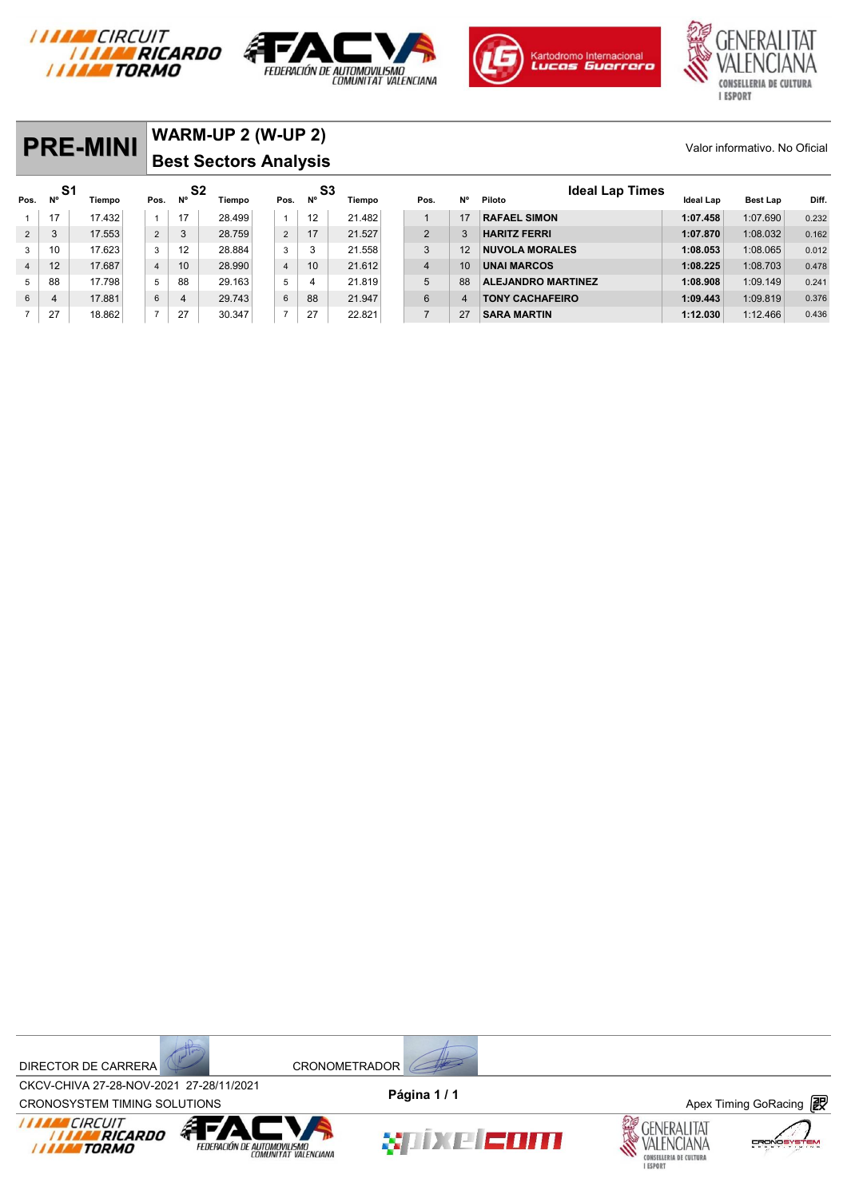







|                |          | <b>PRE-MINI</b> |                | WARM-UP 2 (W-UP 2)<br>Valor informativo. No Oficial<br><b>Best Sectors Analysis</b> |        |                |                   |        |  |                |    |                                  |           |                 |       |
|----------------|----------|-----------------|----------------|-------------------------------------------------------------------------------------|--------|----------------|-------------------|--------|--|----------------|----|----------------------------------|-----------|-----------------|-------|
| Pos.           | S1<br>N° | Tiempo          | Pos.           | S2<br><b>N°</b>                                                                     | Tiempo | Pos.           | S3<br>$N^{\circ}$ | Tiempo |  | Pos.           | N° | <b>Ideal Lap Times</b><br>Piloto | Ideal Lap | <b>Best Lap</b> | Diff. |
|                | 17       | 17.432          | $\mathbf{1}$   | 17                                                                                  | 28.499 | $\mathbf{1}$   | 12                | 21.482 |  |                | 17 | <b>RAFAEL SIMON</b>              | 1:07.458  | 1:07.690        | 0.232 |
| 2              | 3        | 17.553          | $\overline{2}$ | 3                                                                                   | 28.759 | $\overline{2}$ | 17                | 21.527 |  | 2              |    | <b>HARITZ FERRI</b>              | 1:07.870  | 1:08.032        | 0.162 |
| 3              | 10       | 17.623          | 3              | 12                                                                                  | 28.884 | 3              | 3                 | 21.558 |  | 3              | 12 | <b>NUVOLA MORALES</b>            | 1:08.053  | 1:08.065        | 0.012 |
| $\overline{4}$ | 12       | 17.687          | $\overline{4}$ | 10                                                                                  | 28.990 | $\overline{4}$ | 10                | 21.612 |  | $\overline{4}$ | 10 | <b>UNAI MARCOS</b>               | 1:08.225  | 1:08.703        | 0.478 |
| 5 <sup>5</sup> | 88       | 17.798          | 5              | 88                                                                                  | 29.163 | 5              | 4                 | 21.819 |  | 5              | 88 | <b>ALEJANDRO MARTINEZ</b>        | 1:08.908  | 1:09.149        | 0.241 |
| 6              | 4        | 17.881          | 6              | 4                                                                                   | 29.743 | 6              | 88                | 21.947 |  | 6              |    | <b>TONY CACHAFEIRO</b>           | 1:09.443  | 1:09.819        | 0.376 |

7 27 18.862 7 27 30.347 7 27 22.821 7 27 **SARA MARTIN 1:12.030** 1:12.466 0.436





CROV-CHIVA 27-20-NOV-2021 27-20711/2021<br>CRONOSYSTEM TIMING SOLUTIONS **Apex Timing GoRacing** CKCV-CHIVA 27-28-NOV-2021 27-28/11/2021 **Página 1 / 1**





XIIXE EOM



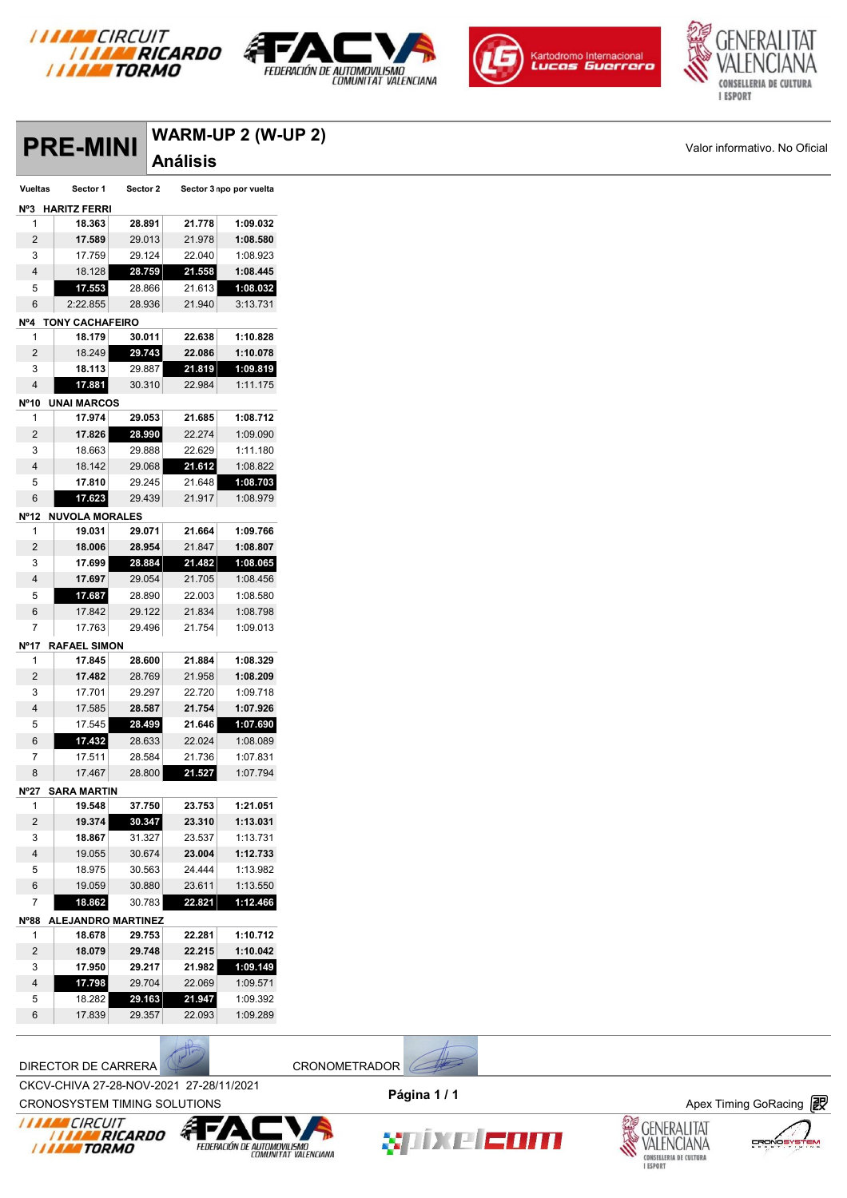







|                     | <b>PRE-MINI</b>            |                  |                  | WARM-UP 2 (W-UP 2)      |
|---------------------|----------------------------|------------------|------------------|-------------------------|
|                     |                            |                  | <b>Análisis</b>  |                         |
| Vueltas             | Sector 1                   | Sector 2         |                  | Sector 3 npo por vuelta |
|                     | Nº3 HARITZ FERRI           |                  |                  |                         |
| 1                   | 18.363                     | 28.891           | 21.778           | 1:09.032                |
| $\overline{2}$      | 17.589                     | 29.013           | 21.978           | 1:08.580                |
| 3                   | 17.759                     | 29.124           | 22.040           | 1:08.923                |
| $\overline{4}$      | 18.128                     | 28.759           | 21.558           | 1:08.445                |
| 5                   | 17.553                     | 28.866           | 21.613           | 1:08.032                |
| 6                   | 2:22.855                   | 28.936           | 21.940           | 3:13.731                |
|                     | Nº4 TONY CACHAFEIRO        |                  |                  |                         |
| 1                   | 18.179                     | 30.011           | 22.638           | 1:10.828                |
| $\overline{2}$      | 18.249                     | 29.743           | 22.086           | 1:10.078                |
| 3                   | 18.113                     | 29.887           | 21.819           | 1:09.819                |
| $\overline{4}$      | 17.881                     | 30.310           | 22.984           | 1:11.175                |
|                     | Nº10 UNAI MARCOS           |                  |                  |                         |
| $\mathbf{1}$        | 17.974                     | 29.053           | 21.685           | 1:08.712                |
| $\overline{2}$      | 17.826                     | 28.990           | 22.274           | 1:09.090                |
| 3<br>$\overline{4}$ | 18.663<br>18.142           | 29.888<br>29.068 | 22.629<br>21.612 | 1:11.180<br>1:08.822    |
| 5                   | 17.810                     | 29.245           | 21.648           | 1:08.703                |
| 6                   | 17.623                     | 29.439           | 21.917           | 1:08.979                |
|                     | Nº12 NUVOLA MORALES        |                  |                  |                         |
| 1                   | 19.031                     | 29.071           | 21.664           | 1:09.766                |
| $\overline{c}$      | 18.006                     | 28.954           | 21.847           | 1:08.807                |
| 3                   | 17.699                     | 28.884           | 21.482           | 1:08.065                |
| $\overline{4}$      | 17.697                     | 29.054           | 21.705           | 1:08.456                |
| $\sqrt{5}$          | 17.687                     | 28.890           | 22.003           | 1:08.580                |
| $\,6\,$             | 17.842                     | 29.122           | 21.834           | 1:08.798                |
| $\overline{7}$      | 17.763                     | 29.496           | 21.754           | 1:09.013                |
|                     | Nº17 RAFAEL SIMON          |                  |                  |                         |
| 1                   | 17.845                     | 28.600           | 21.884           | 1:08.329                |
| $\overline{c}$      | 17.482                     | 28.769           | 21.958           | 1:08.209                |
| 3                   | 17.701                     | 29.297           | 22.720           | 1:09.718                |
| $\overline{4}$      | 17.585                     | 28.587           | 21.754           | 1:07.926                |
| 5                   | 17.545                     | 28.499           | 21.646           | 1:07.690                |
| 6<br>$\overline{7}$ | 17.432                     | 28.633           | 22.024           | 1:08.089                |
|                     | 17.511                     | 28.584<br>28.800 | 21.736<br>21.527 | 1:07.831<br>1:07.794    |
| 8                   | 17.467                     |                  |                  |                         |
| $\mathbf{1}$        | Nº27 SARA MARTIN<br>19.548 | 37.750           | 23.753           | 1:21.051                |
| $\overline{c}$      | 19.374                     | 30.347           | 23.310           | 1:13.031                |
| 3                   | 18.867                     | 31.327           | 23.537           | 1:13.731                |
| $\overline{4}$      | 19.055                     | 30.674           | 23.004           | 1:12.733                |
| 5                   | 18.975                     | 30.563           | 24.444           | 1:13.982                |
| 6                   | 19.059                     | 30.880           | 23.611           | 1:13.550                |
| $\overline{7}$      | 18.862                     | 30.783           | 22.821           | 1:12.466                |
|                     | Nº88 ALEJANDRO MARTINEZ    |                  |                  |                         |
| $\mathbf{1}$        | 18.678                     | 29.753           | 22.281           | 1:10.712                |
| $\overline{2}$      | 18.079                     | 29.748           | 22.215           | 1:10.042                |
| 3                   | 17.950                     | 29.217           | 21.982           | 1:09.149                |
| 4                   | 17.798                     | 29.704           | 22.069           | 1:09.571                |
| 5                   | 18.282                     | 29.163           | 21.947           | 1:09.392                |
| 6                   | 17.839                     | 29.357           | 22.093           | 1:09.289                |

DIRECTOR DE CARRERA CRONOMETRADOR

CKCV-CHIVA 27-28-NOV-2021 27-28/11/2021 **Página 1 / 1**



**XIIIXE EDITI** 







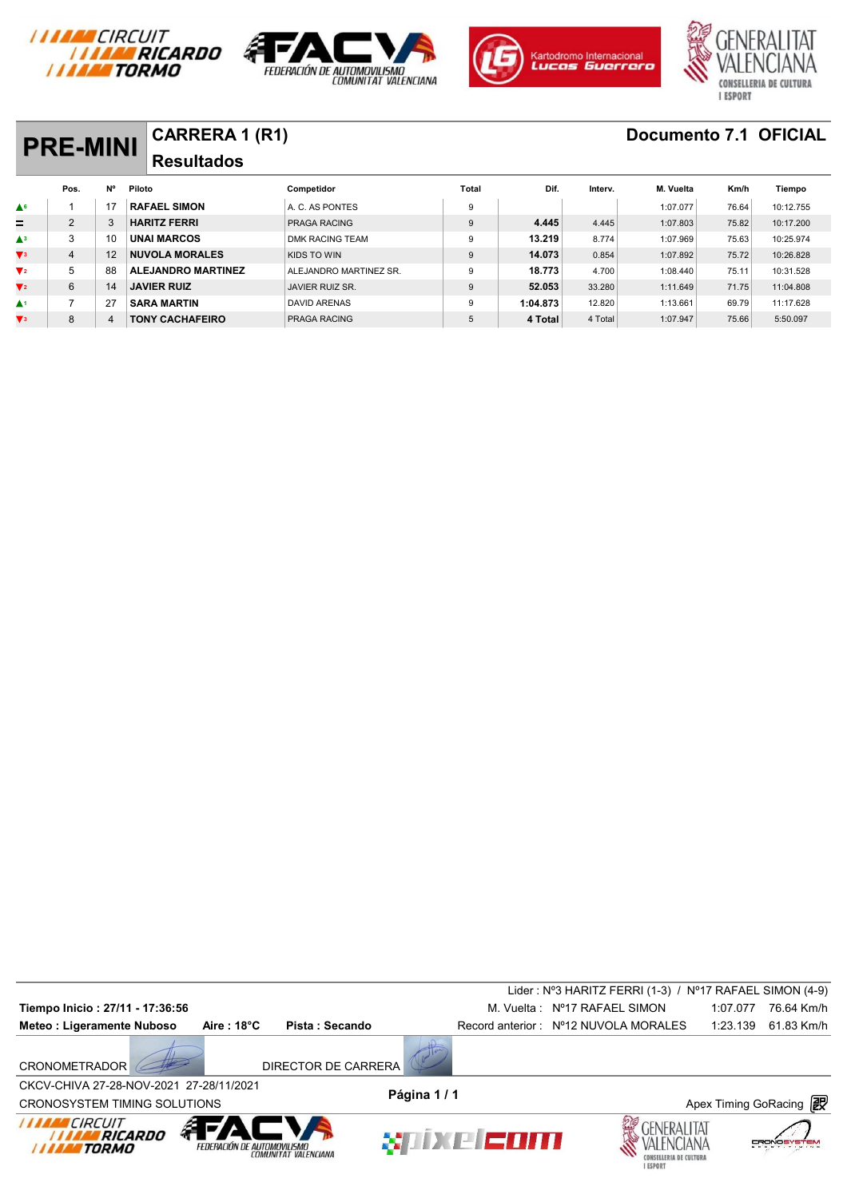







| <b>PRE-MINI</b> |    |                           |                        |                       |          |         |           |       |                       |
|-----------------|----|---------------------------|------------------------|-----------------------|----------|---------|-----------|-------|-----------------------|
|                 |    | <b>Resultados</b>         |                        |                       |          |         |           |       |                       |
| Pos.            | N° | Piloto                    | Competidor             | Total                 | Dif.     | Interv. | M. Vuelta | Km/h  | Tiempo                |
|                 |    | <b>RAFAEL SIMON</b>       | A. C. AS PONTES        | 9                     |          |         | 1:07.077  | 76.64 | 10:12.755             |
| 2               | 3  | <b>HARITZ FERRI</b>       | <b>PRAGA RACING</b>    | 9                     | 4.445    | 4.445   | 1:07.803  | 75.82 | 10:17.200             |
| 3               | 10 | <b>UNAI MARCOS</b>        | <b>DMK RACING TEAM</b> | 9                     | 13.219   | 8.774   | 1:07.969  | 75.63 | 10:25.974             |
| $\overline{4}$  | 12 | <b>NUVOLA MORALES</b>     | KIDS TO WIN            | 9                     | 14.073   | 0.854   | 1:07.892  | 75.72 | 10:26.828             |
| 5               | 88 | <b>ALEJANDRO MARTINEZ</b> | ALEJANDRO MARTINEZ SR. | 9                     | 18.773   | 4.700   | 1:08.440  | 75.11 | 10:31.528             |
| 6               | 14 | <b>JAVIER RUIZ</b>        | JAVIER RUIZ SR.        | 9                     | 52.053   | 33.280  | 1:11.649  | 71.75 | 11:04.808             |
|                 | 27 | <b>SARA MARTIN</b>        | <b>DAVID ARENAS</b>    | 9                     | 1:04.873 | 12.820  | 1:13.661  | 69.79 | 11:17.628             |
| 8               | 4  | <b>TONY CACHAFEIRO</b>    | <b>PRAGA RACING</b>    | 5                     | 4 Total  | 4 Total | 1:07.947  | 75.66 | 5:50.097              |
|                 |    |                           |                        | <b>CARRERA 1 (R1)</b> |          |         |           |       | Documento 7.1 OFICIAL |

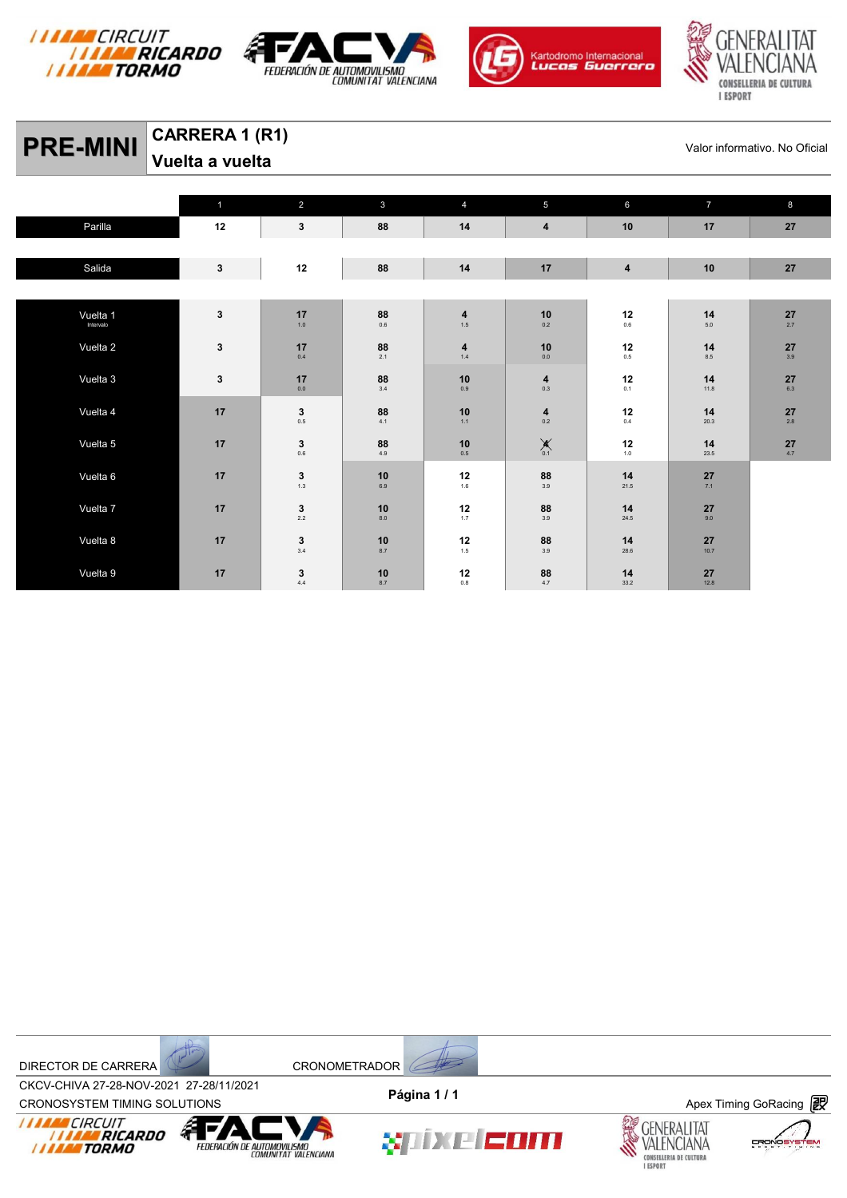







# **PRE-MINI** CARRERA 1 (R1) SALL CARRERA 1 (R1)

**Vuelta a vuelta** 

|           | $\mathbf{1}$ | 2                                                | $\mathbf{3}$                             | $\overline{4}$                                            | $\overline{5}$                                   | $6\phantom{a}$                                          | $\overline{7}$ | $\boldsymbol{8}$                        |
|-----------|--------------|--------------------------------------------------|------------------------------------------|-----------------------------------------------------------|--------------------------------------------------|---------------------------------------------------------|----------------|-----------------------------------------|
| Parilla   | 12           | $\mathbf{3}$                                     | 88                                       | 14                                                        | $\overline{\mathbf{4}}$                          | 10                                                      | 17             | 27                                      |
|           |              |                                                  |                                          |                                                           |                                                  |                                                         |                |                                         |
| Salida    | $\mathbf{3}$ | $12\,$                                           | 88                                       | 14                                                        | 17                                               | $\overline{\mathbf{4}}$                                 | 10             | 27                                      |
|           |              |                                                  |                                          |                                                           |                                                  |                                                         |                |                                         |
| Vuelta 1  | $\mathbf{3}$ | 17                                               | 88                                       | $\begin{array}{c} \textbf{4} \\ \textbf{1.5} \end{array}$ | $10$                                             | 12                                                      | 14             | 27                                      |
| Intervalo |              | $1.0$                                            | $0.6\,$                                  |                                                           | 0.2                                              | $0.6\,$                                                 | $5.0\,$        | 2.7                                     |
| Vuelta 2  | $\mathbf{3}$ | 17                                               | $\underset{2.1}{\textbf{88}}$            | 4                                                         | $10$                                             | 12                                                      | 14             | 27                                      |
|           |              | $0.4\,$                                          |                                          | $1.4\,$                                                   | $0.0\,$                                          | $0.5\,$                                                 | $8.5\,$        | 3.9                                     |
| Vuelta 3  | $\mathbf{3}$ | 17                                               | $88$ <sub>3.4</sub>                      | $10$                                                      | $\begin{array}{c} \textbf{4} \\ 0.3 \end{array}$ | 12                                                      | 14             | 27                                      |
|           |              | $0.0\,$                                          |                                          | 0.9                                                       |                                                  | 0.1                                                     | 11.8           | 6.3                                     |
| Vuelta 4  | 17           | $\mathbf{3}_{_{0.5}}$                            | $88$<br>$4.1$                            | 10                                                        | $\begin{array}{c} \textbf{4} \\ 0.2 \end{array}$ | 12                                                      | 14             | $\mathbf{27}_{\scriptscriptstyle{2.8}}$ |
|           |              |                                                  |                                          | $1.1$                                                     |                                                  | $0.4\,$                                                 | 20.3           |                                         |
| Vuelta 5  | 17           | $\mathbf{3}_{_{0.6}}$                            | $88$<br>$4.9$                            | 10                                                        | $\mathbf{X}_{_{0.1}}$                            | $\begin{array}{c} \n\textbf{12} \\ \hline\n\end{array}$ | 14             | $\frac{27}{4.7}$                        |
|           |              |                                                  |                                          | $0.5\,$                                                   |                                                  |                                                         | 23.5           |                                         |
| Vuelta 6  | 17           | $\begin{array}{c} \mathbf{3} \\ 1.3 \end{array}$ | $\begin{array}{c} 10 \\ 6.9 \end{array}$ | 12                                                        | $\underset{3.9}{\textbf{88}}$                    | 14                                                      | 27             |                                         |
|           |              |                                                  |                                          | 1.6                                                       |                                                  | 21.5                                                    | 7.1            |                                         |
| Vuelta 7  | 17           | $\begin{array}{c} \mathbf{3} \\ 2.2 \end{array}$ | $10$                                     | 12                                                        | 88                                               | 14                                                      | 27             |                                         |
|           |              |                                                  | $_{\rm 8.0}$                             | 1.7                                                       | $3.9\,$                                          | 24.5                                                    | 9.0            |                                         |
| Vuelta 8  | 17           | $\begin{array}{c} \mathbf{3} \\ 3.4 \end{array}$ | 10                                       | 12                                                        | 88                                               | 14                                                      | 27             |                                         |
|           |              |                                                  | 8.7                                      | 1.5                                                       | 3.9                                              | 28.6                                                    | 10.7           |                                         |
| Vuelta 9  | 17           | $\frac{3}{4.4}$                                  | 10                                       | 12                                                        | 88                                               | 14                                                      | 27             |                                         |
|           |              |                                                  | 8.7                                      | $0.8\,$                                                   | 4.7                                              | 33.2                                                    | 12.8           |                                         |



CROV-CHIVA 27-20-NOV-2021 27-20711/2021<br>CRONOSYSTEM TIMING SOLUTIONS **Apex Timing GoRacing** CKCV-CHIVA 27-28-NOV-2021 27-28/11/2021 **Página 1 / 1**





XIIXE EOM



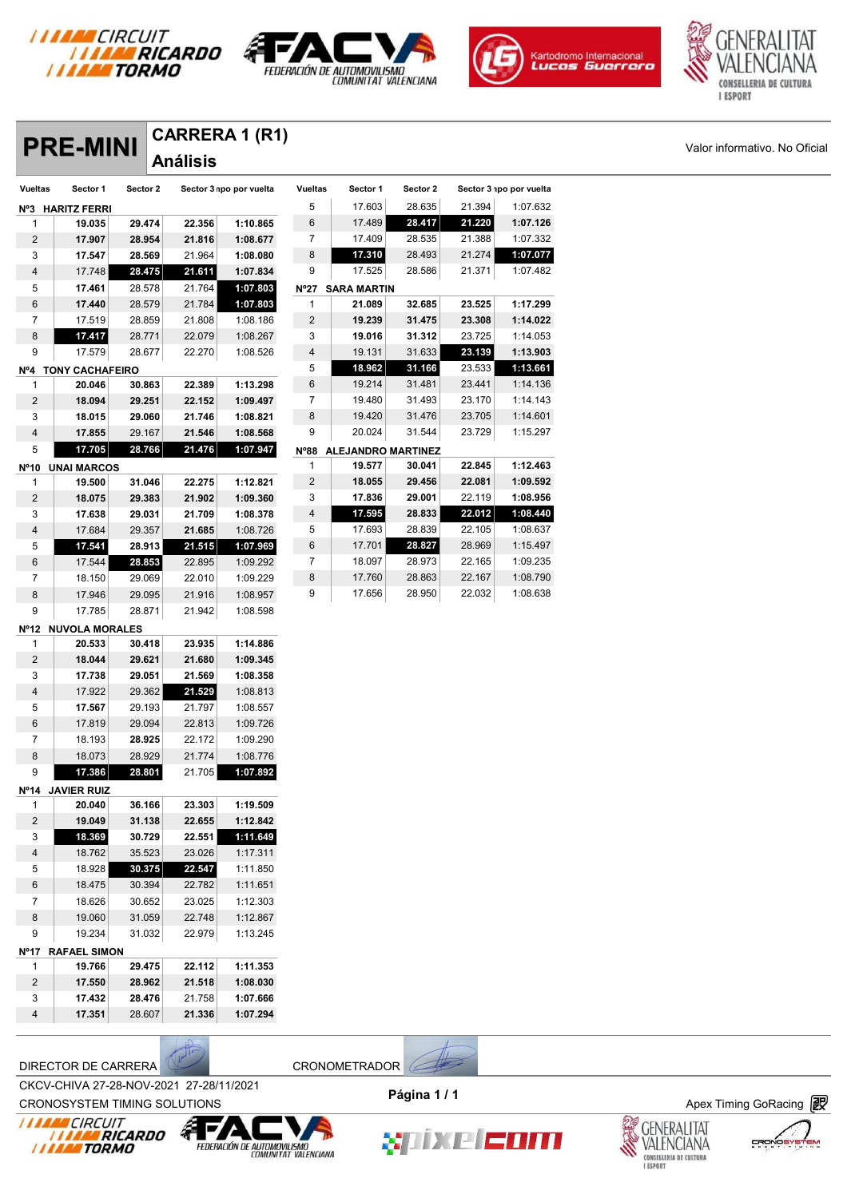







# **PRE-MINI** CARRERA 1 (R1)<br> **PRE-MINI** Análisis

|                | <b>PRE-MINI</b>     |          | VARRERA I (RI)  |                         |                |                           |          |        |                         |
|----------------|---------------------|----------|-----------------|-------------------------|----------------|---------------------------|----------|--------|-------------------------|
|                |                     |          | <b>Análisis</b> |                         |                |                           |          |        |                         |
| <b>Vueltas</b> | Sector 1            | Sector 2 |                 | Sector 3 npo por vuelta | <b>Vueltas</b> | Sector 1                  | Sector 2 |        | Sector 3 npo por vuelta |
|                | Nº3 HARITZ FERRI    |          |                 |                         | 5              | 17.603                    | 28.635   | 21.394 | 1:07.632                |
| 1              | 19.035              | 29.474   | 22.356          | 1:10.865                | 6              | 17.489                    | 28.417   | 21.220 | 1:07.126                |
| 2              | 17.907              | 28.954   | 21.816          | 1:08.677                | 7              | 17.409                    | 28.535   | 21.388 | 1:07.332                |
| 3              | 17.547              | 28.569   | 21.964          | 1:08.080                | 8              | 17.310                    | 28.493   | 21.274 | 1:07.077                |
| 4              | 17.748              | 28.475   | 21.611          | 1:07.834                | 9              | 17.525                    | 28.586   | 21.371 | 1:07.482                |
| 5              | 17.461              | 28.578   | 21.764          | 1:07.803                | $N^{\circ}27$  | <b>SARA MARTIN</b>        |          |        |                         |
| 6              | 17.440              | 28.579   | 21.784          | 1:07.803                | 1              | 21.089                    | 32.685   | 23.525 | 1:17.299                |
| 7              | 17.519              | 28.859   | 21.808          | 1:08.186                | 2              | 19.239                    | 31.475   | 23.308 | 1:14.022                |
| 8              | 17.417              | 28.771   | 22.079          | 1:08.267                | 3              | 19.016                    | 31.312   | 23.725 | 1:14.053                |
| 9              | 17.579              | 28.677   | 22.270          | 1:08.526                | 4              | 19.131                    | 31.633   | 23.139 | 1:13.903                |
|                | Nº4 TONY CACHAFEIRO |          |                 |                         | 5              | 18.962                    | 31.166   | 23.533 | 1:13.661                |
| 1              | 20.046              | 30.863   | 22.389          | 1:13.298                | 6              | 19.214                    | 31.481   | 23.441 | 1:14.136                |
| 2              | 18.094              | 29.251   | 22.152          | 1:09.497                | 7              | 19.480                    | 31.493   | 23.170 | 1:14.143                |
| 3              | 18.015              | 29.060   | 21.746          | 1:08.821                | 8              | 19.420                    | 31.476   | 23.705 | 1:14.601                |
| 4              | 17.855              | 29.167   | 21.546          | 1:08.568                | 9              | 20.024                    | 31.544   | 23.729 | 1:15.297                |
| 5              | 17.705              | 28.766   | 21.476          | 1:07.947                | $N^{\circ}88$  | <b>ALEJANDRO MARTINEZ</b> |          |        |                         |
| Nº10           | <b>UNAI MARCOS</b>  |          |                 |                         | 1              | 19.577                    | 30.041   | 22.845 | 1:12.463                |
| 1              | 19.500              | 31.046   | 22.275          | 1:12.821                | 2              | 18.055                    | 29.456   | 22.081 | 1:09.592                |
| 2              | 18.075              | 29.383   | 21.902          | 1:09.360                | 3              | 17.836                    | 29.001   | 22.119 | 1:08.956                |
| 3              | 17.638              | 29.031   | 21.709          | 1:08.378                | 4              | 17.595                    | 28.833   | 22.012 | 1:08.440                |
| 4              | 17.684              | 29.357   | 21.685          | 1:08.726                | 5              | 17.693                    | 28.839   | 22.105 | 1:08.637                |
| 5              | 17.541              | 28.913   | 21.515          | 1:07.969                | 6              | 17.701                    | 28.827   | 28.969 | 1:15.497                |
| 6              | 17.544              | 28.853   | 22.895          | 1:09.292                | 7              | 18.097                    | 28.973   | 22.165 | 1:09.235                |
| 7              | 18.150              | 29.069   | 22.010          | 1:09.229                | 8              | 17.760                    | 28.863   | 22.167 | 1:08.790                |
| 8              | 17.946              | 29.095   | 21.916          | 1:08.957                | 9              | 17.656                    | 28.950   | 22.032 | 1:08.638                |
| 9              | 17.785              | 28.871   | 21.942          | 1:08.598                |                |                           |          |        |                         |
|                | Nº12 NUVOLA MORALES |          |                 |                         |                |                           |          |        |                         |
| 1              | 20.533              | 30.418   | 23.935          | 1:14.886                |                |                           |          |        |                         |
| 2              | 18.044              | 29.621   | 21.680          | 1:09.345                |                |                           |          |        |                         |
| 3              | 17.738              | 29.051   | 21.569          | 1:08.358                |                |                           |          |        |                         |
| 4              | 17.922              | 29.362   | 21.529          | 1:08.813                |                |                           |          |        |                         |
| 5              | 17.567              | 29.193   | 21.797          | 1:08.557                |                |                           |          |        |                         |
| 6              | 17.819              | 29.094   | 22.813          | 1:09.726                |                |                           |          |        |                         |
| 7              | 18.193              | 28.925   | 22.172          | 1:09.290                |                |                           |          |        |                         |
| 8              | 18.073              | 28.929   | 21.774          | 1:08.776                |                |                           |          |        |                         |
| 9              | 17.386              | 28.801   | 21.705          | 1:07.892                |                |                           |          |        |                         |
|                | Nº14 JAVIER RUIZ    |          |                 |                         |                |                           |          |        |                         |
| 1              | 20.040              | 36.166   | 23.303          | 1:19.509                |                |                           |          |        |                         |
| 2              | 19.049              | 31.138   | 22.655          | 1:12.842                |                |                           |          |        |                         |
| 3              | 18.369              | 30.729   | 22.551          | 1:11.649                |                |                           |          |        |                         |
| 4              | 18.762              | 35.523   | 23.026          | 1:17.311                |                |                           |          |        |                         |
| 5              | 18.928              | 30.375   | 22.547          | 1:11.850                |                |                           |          |        |                         |
| 6              | 18.475              | 30.394   | 22.782          | 1:11.651                |                |                           |          |        |                         |
| 7              | 18.626              | 30.652   | 23.025          | 1:12.303                |                |                           |          |        |                         |
| $\bf8$         | 19.060              | 31.059   | 22.748          | 1:12.867                |                |                           |          |        |                         |
|                | 19.234              | 31.032   | 22.979          | 1:13.245                |                |                           |          |        |                         |
| 9              | <b>RAFAEL SIMON</b> |          |                 |                         |                |                           |          |        |                         |
| N°17           |                     |          |                 |                         |                |                           |          |        |                         |
| 1              | 19.766              | 29.475   | 22.112          | 1:11.353                |                |                           |          |        |                         |
| 2              | 17.550              | 28.962   | 21.518          | 1:08.030                |                |                           |          |        |                         |
| 3<br>4         | 17.432              | 28.476   | 21.758          | 1:07.666                |                |                           |          |        |                         |





CROV-CHIVA 27-20-NOV-2021 27-20711/2021<br>CRONOSYSTEM TIMING SOLUTIONS **Apex Timing GoRacing** 









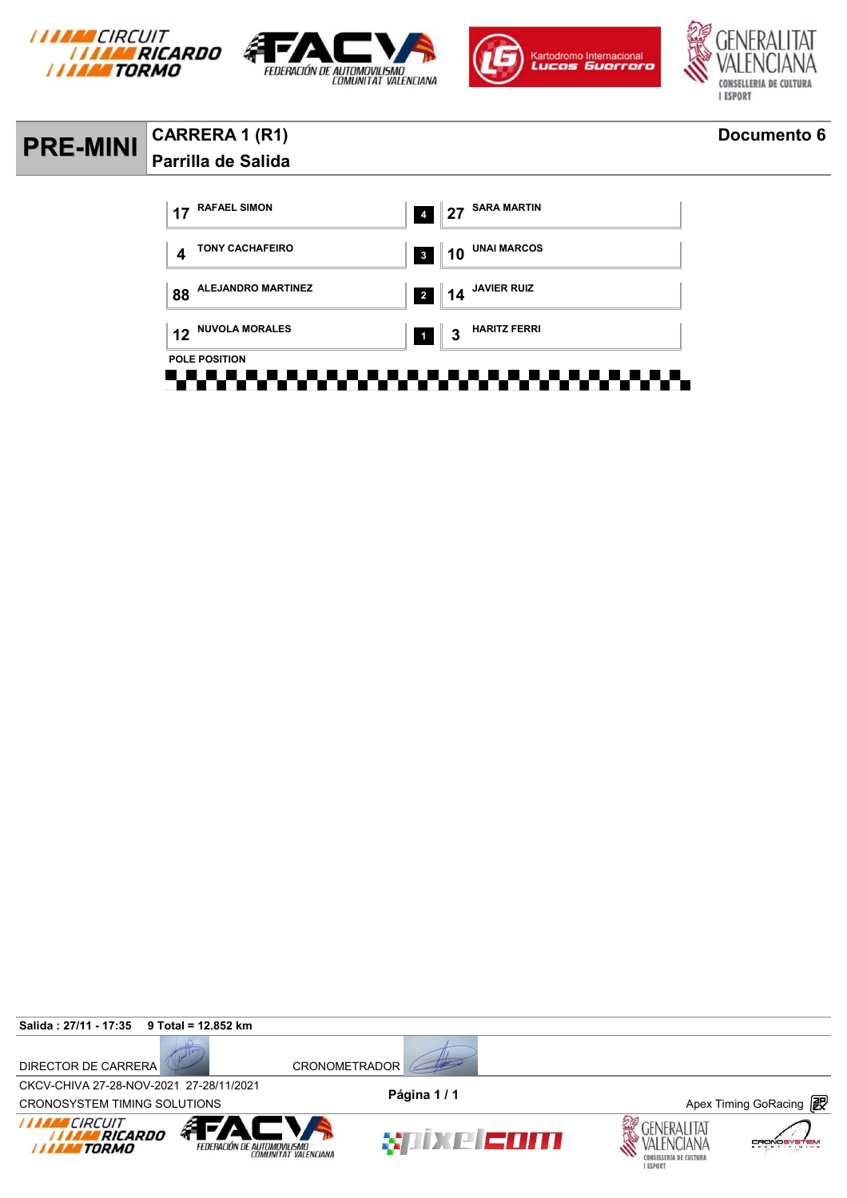







### **PRE-MINI CARRERA 1 (R1) Documento 6 Parrilla de Salida**



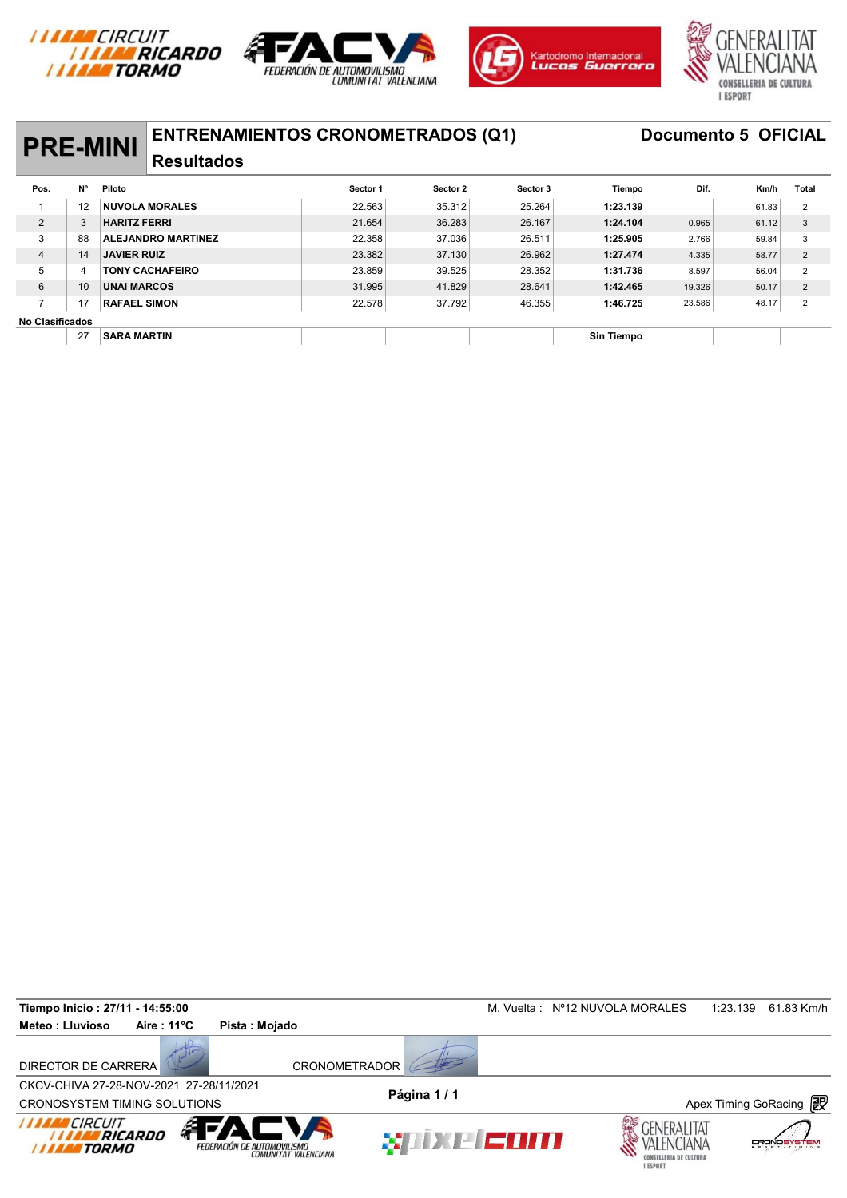







## **PRE-MINI** ENTRENAMIENTOS CRONOMETRADOS (Q1) Documento 5 OFICIAL

### **Resultados**

| <b>PRE-MINI</b>        |           | EN I RENAMIEN I US URUNUME I RADUS (QT) |          |          |          |            |        | <b>DOCUMENTO 3 OFIGIAL</b> |                |
|------------------------|-----------|-----------------------------------------|----------|----------|----------|------------|--------|----------------------------|----------------|
|                        |           | <b>Resultados</b>                       |          |          |          |            |        |                            |                |
| Pos.                   | <b>N°</b> | Piloto                                  | Sector 1 | Sector 2 | Sector 3 | Tiempo     | Dif.   | Km/h                       | Total          |
|                        | 12        | <b>NUVOLA MORALES</b>                   | 22.563   | 35.312   | 25.264   | 1:23.139   |        | 61.83                      | $\overline{2}$ |
| $\overline{2}$         | 3         | <b>HARITZ FERRI</b>                     | 21.654   | 36.283   | 26.167   | 1:24.104   | 0.965  | 61.12                      | 3              |
| 3                      | 88        | <b>ALEJANDRO MARTINEZ</b>               | 22.358   | 37.036   | 26.511   | 1:25.905   | 2.766  | 59.84                      | 3              |
| $\overline{4}$         | 14        | <b>JAVIER RUIZ</b>                      | 23.382   | 37.130   | 26.962   | 1:27.474   | 4.335  | 58.77                      | $\overline{2}$ |
| 5                      | 4         | <b>TONY CACHAFEIRO</b>                  | 23.859   | 39.525   | 28.352   | 1:31.736   | 8.597  | 56.04                      | $\overline{2}$ |
| 6                      | 10        | <b>UNAI MARCOS</b>                      | 31.995   | 41.829   | 28.641   | 1:42.465   | 19.326 | 50.17                      | $\overline{2}$ |
| 7                      | 17        | <b>RAFAEL SIMON</b>                     | 22.578   | 37.792   | 46.355   | 1:46.725   | 23.586 | 48.17                      | $\overline{2}$ |
| <b>No Clasificados</b> |           |                                         |          |          |          |            |        |                            |                |
|                        | 27        | <b>SARA MARTIN</b>                      |          |          |          | Sin Tiempo |        |                            |                |

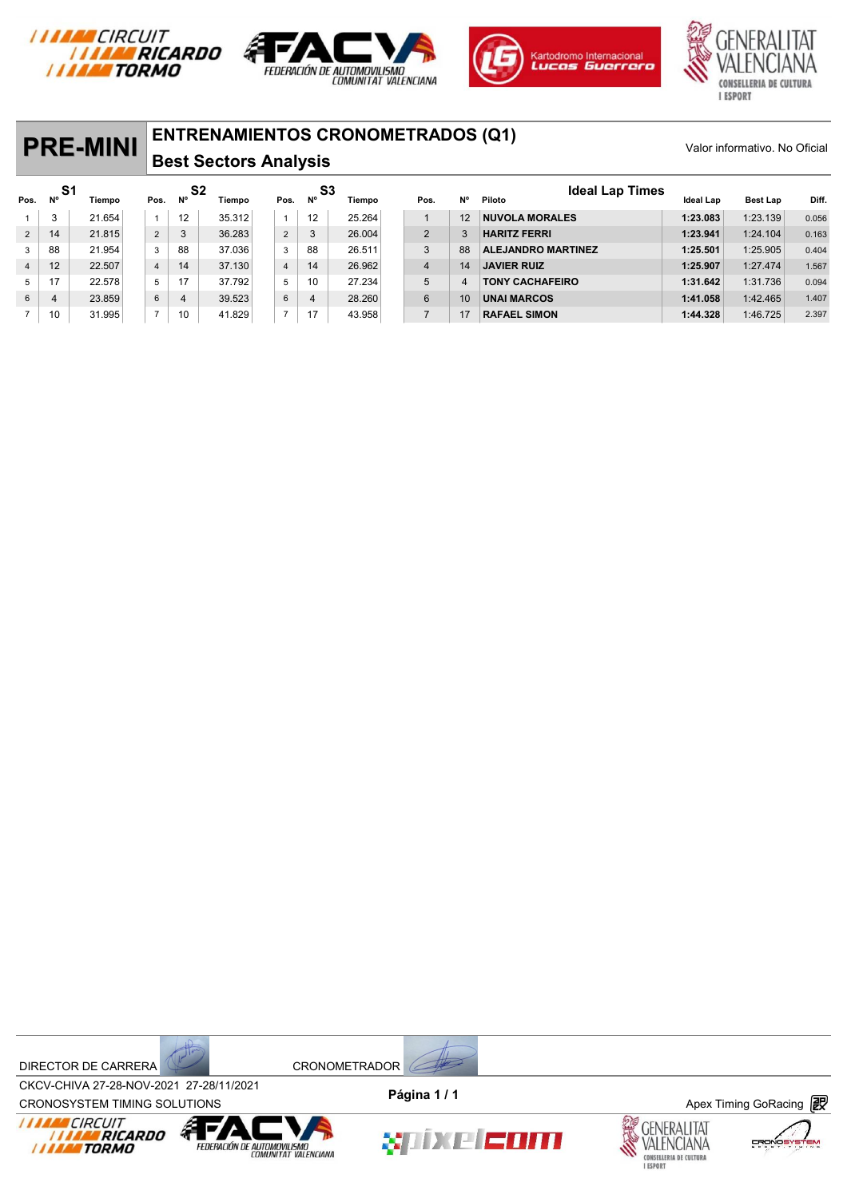







## **PRE-MINI** ENTRENAMIENTOS CRONOMETRADOS (Q1)<br>
Valor informativo. No Oficial **Rost Soctors Analysis**

### **Best Sectors Analysis**

|                |           | <b>PRE-MINI</b> |                |                 | <b>ENTRENAMIENTOS CRONOMETRADOS (Q1)</b><br><b>Best Sectors Analysis</b> |                | Valor informativo. No Oficial |        |                |    |                                  |                  |                 |       |
|----------------|-----------|-----------------|----------------|-----------------|--------------------------------------------------------------------------|----------------|-------------------------------|--------|----------------|----|----------------------------------|------------------|-----------------|-------|
| Pos.           | -S1<br>N° | <b>Tiempo</b>   | Pos.           | S2<br><b>N°</b> | Tiempo                                                                   | Pos.           | S3<br>N°                      | Tiempo | Pos.           | N° | <b>Ideal Lap Times</b><br>Piloto | <b>Ideal Lap</b> | <b>Best Lap</b> | Diff. |
| 1              | 3         | 21.654          |                | 12              | 35.312                                                                   | $\mathbf{1}$   | 12                            | 25.264 |                | 12 | <b>NUVOLA MORALES</b>            | 1:23.083         | 1:23.139        | 0.056 |
| $\overline{2}$ | 14        | 21.815          | $\overline{2}$ | 3               | 36.283                                                                   | $\overline{2}$ | 3                             | 26.004 | 2              | 3  | <b>HARITZ FERRI</b>              | 1:23.941         | 1:24.104        | 0.163 |
| 3              | 88        | 21.954          | 3              | 88              | 37.036                                                                   | 3              | 88                            | 26.511 | 3              | 88 | <b>ALEJANDRO MARTINEZ</b>        | 1:25.501         | 1:25.905        | 0.404 |
| $\overline{4}$ | 12        | 22.507          | $\overline{4}$ | 14              | 37.130                                                                   | $\overline{4}$ | 14                            | 26.962 | $\overline{4}$ | 14 | <b>JAVIER RUIZ</b>               | 1:25.907         | 1:27.474        | 1.567 |
| 5              | 17        | 22.578          | 5              | 17              | 37.792                                                                   | 5              | 10                            | 27.234 | 5              | 4  | <b>TONY CACHAFEIRO</b>           | 1:31.642         | 1:31.736        | 0.094 |
| 6              | 4         | 23.859          | 6              | 4               | 39.523                                                                   | $\,6\,$        | 4                             | 28.260 | 6              | 10 | <b>UNAI MARCOS</b>               | 1:41.058         | 1:42.465        | 1.407 |
|                | 10        | 31.995          | $\overline{7}$ | 10              | 41.829                                                                   | $\overline{7}$ | 17                            | 43.958 | $\overline{7}$ | 17 | <b>RAFAEL SIMON</b>              | 1:44.328         | 1:46.725        | 2.397 |

DIRECTOR DE CARRERA CRONOMETRADOR



CROV-CHIVA 27-20-NOV-2021 27-20711/2021<br>CRONOSYSTEM TIMING SOLUTIONS **Apex Timing GoRacing** CKCV-CHIVA 27-28-NOV-2021 27-28/11/2021 **Página 1 / 1**





xiixe com



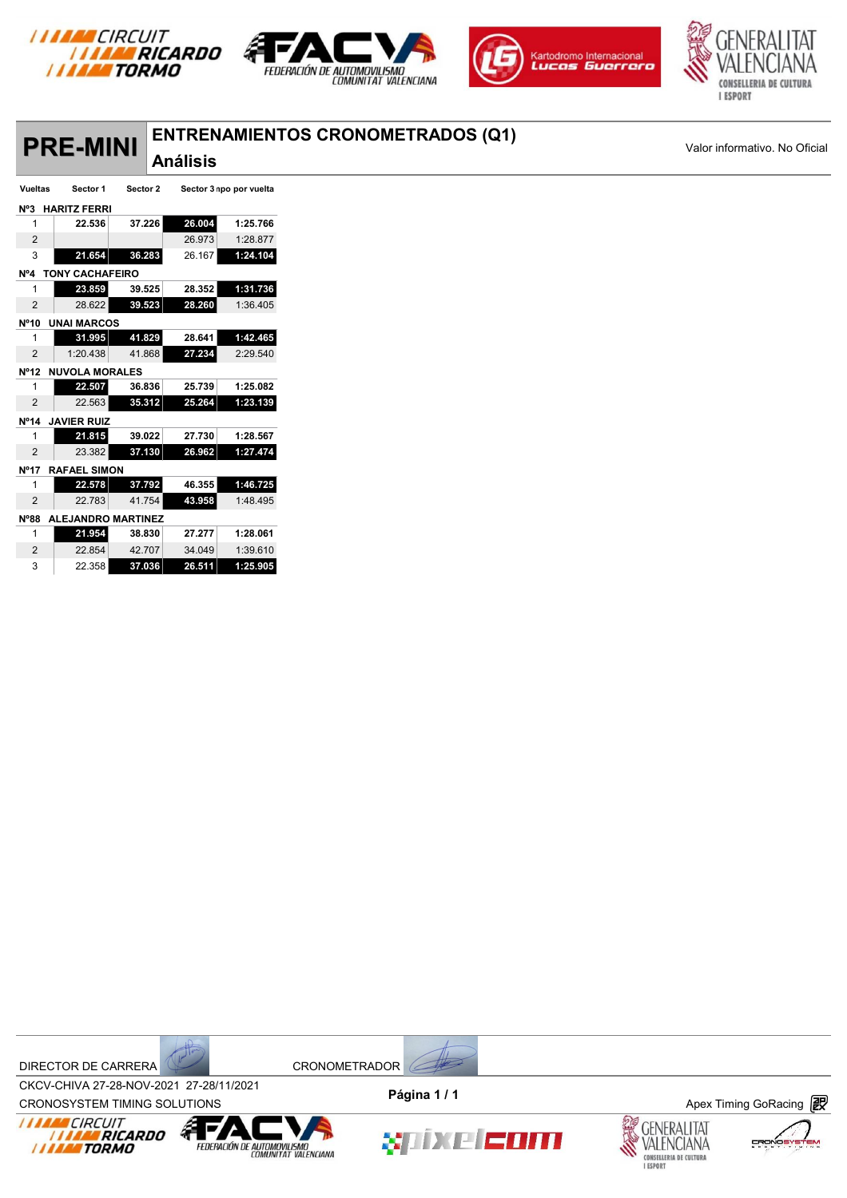







## **Análisis PRE-MINI**<br>Análisis

## **PRIMICIAL ENTRENAMIENTOS CRONOMETRADOS (Q1)** Valor informativo. No Oficial

| Vueltas           | Sector 1                  | Sector 2 |        | Sector 3 npo por vuelta |
|-------------------|---------------------------|----------|--------|-------------------------|
| $N^o3$            | <b>HARITZ FERRI</b>       |          |        |                         |
| 1                 | 22.536                    | 37.226   | 26.004 | 1:25.766                |
| $\overline{2}$    |                           |          | 26.973 | 1:28.877                |
| 3                 | 21.654                    | 36.283   | 26.167 | 1:24.104                |
| N <sup>o</sup> 4  | <b>TONY CACHAFEIRO</b>    |          |        |                         |
| 1                 | 23.859                    | 39.525   | 28.352 | 1:31.736                |
| $\overline{2}$    | 28.622                    | 39.523   | 28.260 | 1:36.405                |
| N <sup>0</sup> 10 | <b>UNAI MARCOS</b>        |          |        |                         |
| 1                 | 31.995                    | 41.829   | 28.641 | 1:42.465                |
| 2                 | 1:20.438                  | 41.868   | 27.234 | 2:29.540                |
| $N^{\circ}12$     | <b>NUVOLA MORALES</b>     |          |        |                         |
| 1                 | 22.507                    | 36.836   | 25.739 | 1:25.082                |
| $\overline{2}$    | 22.563                    | 35.312   | 25.264 | 1:23.139                |
| $N^{\circ}14$     | <b>JAVIER RUIZ</b>        |          |        |                         |
| 1                 | 21.815                    | 39.022   | 27.730 | 1:28.567                |
| $\overline{2}$    | 23.382                    | 37.130   | 26.962 | 1:27.474                |
| <b>Nº17</b>       | <b>RAFAEL SIMON</b>       |          |        |                         |
| 1                 | 22.578                    | 37.792   | 46.355 | 1:46.725                |
| $\overline{2}$    | 22.783                    | 41.754   | 43.958 | 1:48.495                |
| $N^{\circ}88$     | <b>ALEJANDRO MARTINEZ</b> |          |        |                         |
| 1                 | 21.954                    | 38.830   | 27.277 | 1:28.061                |
| 2                 | 22.854                    | 42.707   | 34.049 | 1:39.610                |
| 3                 | 22.358                    | 37.036   | 26.511 | 1:25.905                |

DIRECTOR DE CARRERA CRONOMETRADOR



CROV-CHIVA 27-20-NOV-2021 27-20711/2021<br>CRONOSYSTEM TIMING SOLUTIONS **Apex Timing GoRacing** CKCV-CHIVA 27-28-NOV-2021 27-28/11/2021









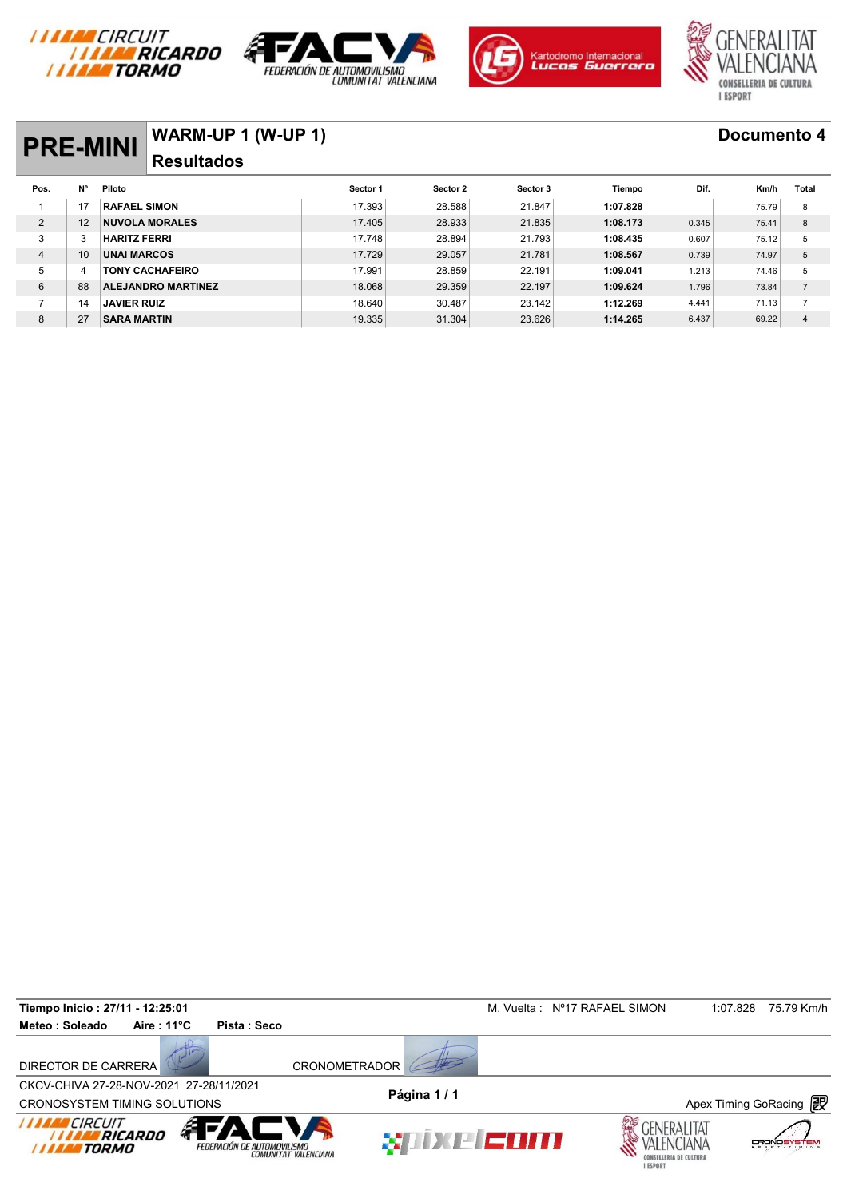







## **PRE-MINI WARM-UP 1 (W-UP 1) Documento 4 Resultados**

| <b>PRE-MINI</b> |    | VVARIVI-UF I (VV-UF I)    |          |          |          |          |       | <b>DOCUMENTO 4</b> |                |
|-----------------|----|---------------------------|----------|----------|----------|----------|-------|--------------------|----------------|
|                 |    | <b>Resultados</b>         |          |          |          |          |       |                    |                |
| Pos.            | N° | Piloto                    | Sector 1 | Sector 2 | Sector 3 | Tiempo   | Dif.  | Km/h               | Total          |
|                 |    | <b>RAFAEL SIMON</b>       | 17.393   | 28.588   | 21.847   | 1:07.828 |       | 75.79              | 8              |
| 2               | 12 | <b>NUVOLA MORALES</b>     | 17.405   | 28.933   | 21.835   | 1:08.173 | 0.345 | 75.41              | 8              |
| 3               |    | <b>HARITZ FERRI</b>       | 17.748   | 28.894   | 21.793   | 1:08.435 | 0.607 | 75.12              | 5              |
| $\overline{4}$  | 10 | <b>UNAI MARCOS</b>        | 17.729   | 29.057   | 21.781   | 1:08.567 | 0.739 | 74.97              | 5              |
| 5               |    | <b>TONY CACHAFEIRO</b>    | 17.991   | 28.859   | 22.191   | 1:09.041 | 1.213 | 74.46              | 5              |
| 6               | 88 | <b>ALEJANDRO MARTINEZ</b> | 18.068   | 29.359   | 22.197   | 1:09.624 | 1.796 | 73.84              | $\overline{7}$ |
| $\overline{ }$  | 14 | <b>JAVIER RUIZ</b>        | 18.640   | 30.487   | 23.142   | 1:12.269 | 4.441 | 71.13              | $\overline{ }$ |
| 8               | 27 | <b>SARA MARTIN</b>        | 19.335   | 31.304   | 23.626   | 1:14.265 | 6.437 | 69.22              | 4              |

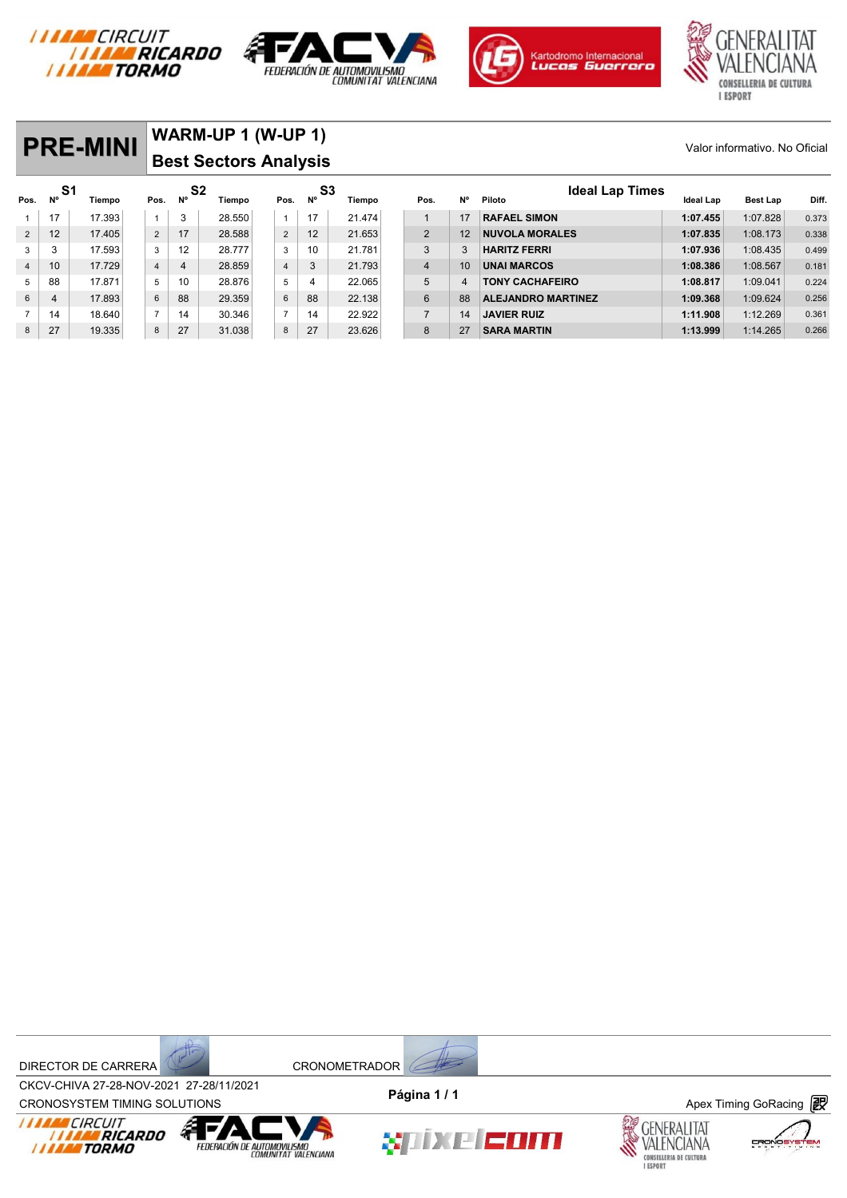







**PRE-MINI** WARM-UP 1 (W-UP 1) Valor informativo. No Oficial **Best Sectors Analysis S1** Tiempo Pos. N<sup>o</sup> S2 Tiempo Pos. N<sup>o S3</sup> Tiempo Pos. N<sup>o Piloto</sup> Ideal Lap Times Valor informativo. No Oficial<br>Pos. N<sup>o</sup> Tiempo Pos. N<sup>o S3</sup> Tiempo Pos. N<sup>o S3</sup> Tiempo Pos. N<sup>o Piloto</sup> **Ideal Lap Times**<br>1 17 17 17 1393 1 1 3 28.550 1 1 17 21.474 1 17 17 RAFAEL SIMON 1:07.455 1:07.455 1:07.828 0.373 2 12 17.405 2 17 28.588 2 12 21.653 2 12 **NUVOLA MORALES 1:07.835** 1:08.173 0.338 3 3 17.593 3 12 28.777 3 10 21.781 3 3 **HARITZ FERRI 1:07.936** 1:08.435 0.499 4 10 17.729 4 4 28.859 4 3 21.793 4 10 **UNAI MARCOS 1:08.386** 1:08.567 0.181 5 88 17.871 5 10 28.876 5 4 22.065 5 4 **TONY CACHAFEIRO 1:08.817** 1:09.041 0.224 6 4 17.893 6 88 29.359 6 88 22.138 6 88 **ALEJANDRO MARTINEZ 1:09.368** 1:09.624 0.256

7 14 18.640 7 14 30.346 7 14 22.922 7 14 **JAVIER RUIZ 1:11.908** 1:12.269 0.361 8 27 19.335 8 27 31.038 8 27 23.626 8 27 **SARA MARTIN 1:13.999** 1:14.265 0.266



FEDERACIÓN DE AUTOMOVILISMO



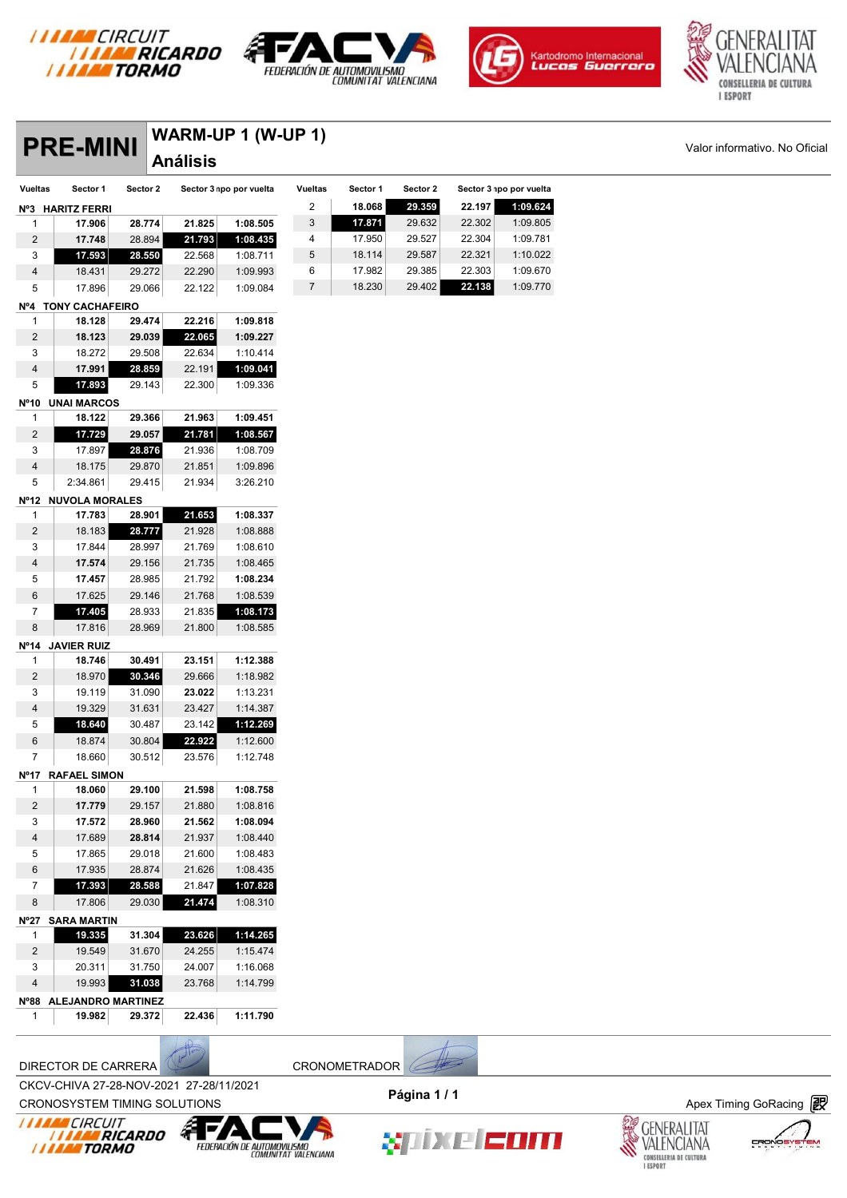







### **PREM-UP 1 (W-UP 1)** Valor informativo. No Oficial **Análisis**

|                | <b>PRE-MINI</b>     |          |                 | <b>WARM-UP 1 (W-UP 1)</b> |                |          |          |        |                         |
|----------------|---------------------|----------|-----------------|---------------------------|----------------|----------|----------|--------|-------------------------|
|                |                     |          | <b>Análisis</b> |                           |                |          |          |        |                         |
| <b>Vueltas</b> | Sector 1            | Sector 2 |                 | Sector 3 npo por vuelta   | <b>Vueltas</b> | Sector 1 | Sector 2 |        | Sector 3 npo por vuelta |
| $N^{\circ}3$   | <b>HARITZ FERRI</b> |          |                 |                           | 2              | 18.068   | 29.359   | 22.197 | 1:09.624                |
| 1              | 17.906              | 28.774   | 21.825          | 1:08.505                  | 3              | 17.871   | 29.632   | 22.302 | 1:09.805                |
| 2              | 17.748              | 28.894   | 21.793          | 1:08.435                  | 4              | 17.950   | 29.527   | 22.304 | 1:09.781                |
| 3              | 17.593              | 28.550   | 22.568          | 1:08.711                  | 5              | 18.114   | 29.587   | 22.321 | 1:10.022                |
| $\overline{4}$ | 18.431              | 29.272   | 22.290          | 1:09.993                  | 6              | 17.982   | 29.385   | 22.303 | 1:09.670                |
| 5              | 17.896              | 29.066   | 22.122          | 1:09.084                  | 7              | 18.230   | 29.402   | 22.138 | 1:09.770                |

#### **Nº4 TONY CACHAFEIRO**

| 1                 | 18.128             | 29.474 | 22.216 | 1:09.818 |
|-------------------|--------------------|--------|--------|----------|
| 2                 | 18.123             | 29.039 | 22.065 | 1:09.227 |
| 3                 | 18.272             | 29.508 | 22.634 | 1:10.414 |
| 4                 | 17.991             | 28.859 | 22.191 | 1:09.041 |
| 5                 | 17.893             | 29.143 | 22.300 | 1:09.336 |
|                   |                    |        |        |          |
| N <sup>o</sup> 10 | <b>UNAI MARCOS</b> |        |        |          |
| 1                 | 18.122             | 29.366 | 21.963 | 1:09.451 |
| $\overline{2}$    | 17.729             | 29.057 | 21.781 | 1:08.567 |
| 3                 | 17.897             | 28.876 | 21.936 | 1:08.709 |

#### 2:34.861 29.415 21.934 3:26.210 **Nº12 NUVOLA MORALES**

| 1              | 17.783              | 28.901 | 21.653 | 1:08.337 |
|----------------|---------------------|--------|--------|----------|
| $\overline{2}$ | 18.183              | 28.777 | 21.928 | 1:08.888 |
| 3              | 17.844              | 28.997 | 21.769 | 1:08.610 |
| $\overline{4}$ | 17.574              | 29.156 | 21.735 | 1:08.465 |
| 5              | 17.457              | 28.985 | 21.792 | 1:08.234 |
| 6              | 17.625              | 29.146 | 21.768 | 1:08.539 |
| 7              | 17.405              | 28.933 | 21.835 | 1:08.173 |
| 8              | 17.816              | 28.969 | 21.800 | 1:08.585 |
| $N^{\circ}14$  | <b>JAVIER RUIZ</b>  |        |        |          |
| 1              | 18.746              | 30.491 | 23.151 | 1:12.388 |
| $\overline{2}$ | 18.970              | 30.346 | 29.666 | 1:18.982 |
| 3              | 19.119              | 31.090 | 23.022 | 1:13.231 |
| $\overline{4}$ | 19.329              | 31.631 | 23.427 | 1:14.387 |
| 5              | 18.640              | 30.487 | 23.142 | 1:12.269 |
| 6              | 18.874              | 30.804 | 22.922 | 1:12.600 |
| 7              | 18.660              | 30.512 | 23.576 | 1:12.748 |
| Nº17           | <b>RAFAEL SIMON</b> |        |        |          |
| 1              | 18.060              | 29.100 | 21.598 | 1:08.758 |
| $\overline{2}$ | 17.779              | 29.157 | 21.880 | 1:08.816 |
| 3              | 17.572              | 28.960 | 21.562 | 1:08.094 |
| $\overline{4}$ | 17.689              | 28.814 | 21.937 | 1:08.440 |
| 5              | 17.865              | 29.018 | 21.600 | 1:08.483 |
| 6              | 17.935              | 28.874 | 21.626 | 1:08.435 |
| 7              | 17.393              | 28.588 | 21.847 | 1:07.828 |
| 8              | 17.806              | 29.030 | 21.474 | 1:08.310 |
| $N^{\circ}27$  | <b>SARA MARTIN</b>  |        |        |          |
| 1              | 19.335              | 31.304 | 23.626 | 1:14.265 |
| $\overline{2}$ | 19.549              | 31.670 | 24.255 | 1:15.474 |
| 3              | 20.311              | 31.750 | 24.007 | 1:16.068 |
| $\overline{4}$ | 19.993              | 31.038 | 23.768 | 1:14.799 |
|                |                     |        |        |          |

**Nº88 ALEJANDRO MARTINEZ 19.982 29.372 22.436 1:11.790**

**THE RICARDO** 

**I I I III** CIRCUIT



CKCV-CHIVA 27-28-NOV-2021 27-28/11/2021 **Página 1 / 1**



CROV-CHIVA 27-20-NOV-2021 27-20711/2021<br>CRONOSYSTEM TIMING SOLUTIONS **Apex Timing GoRacing** 

┋┏╱

FEDERACIÓN DE AUTOMOVILISMO

â







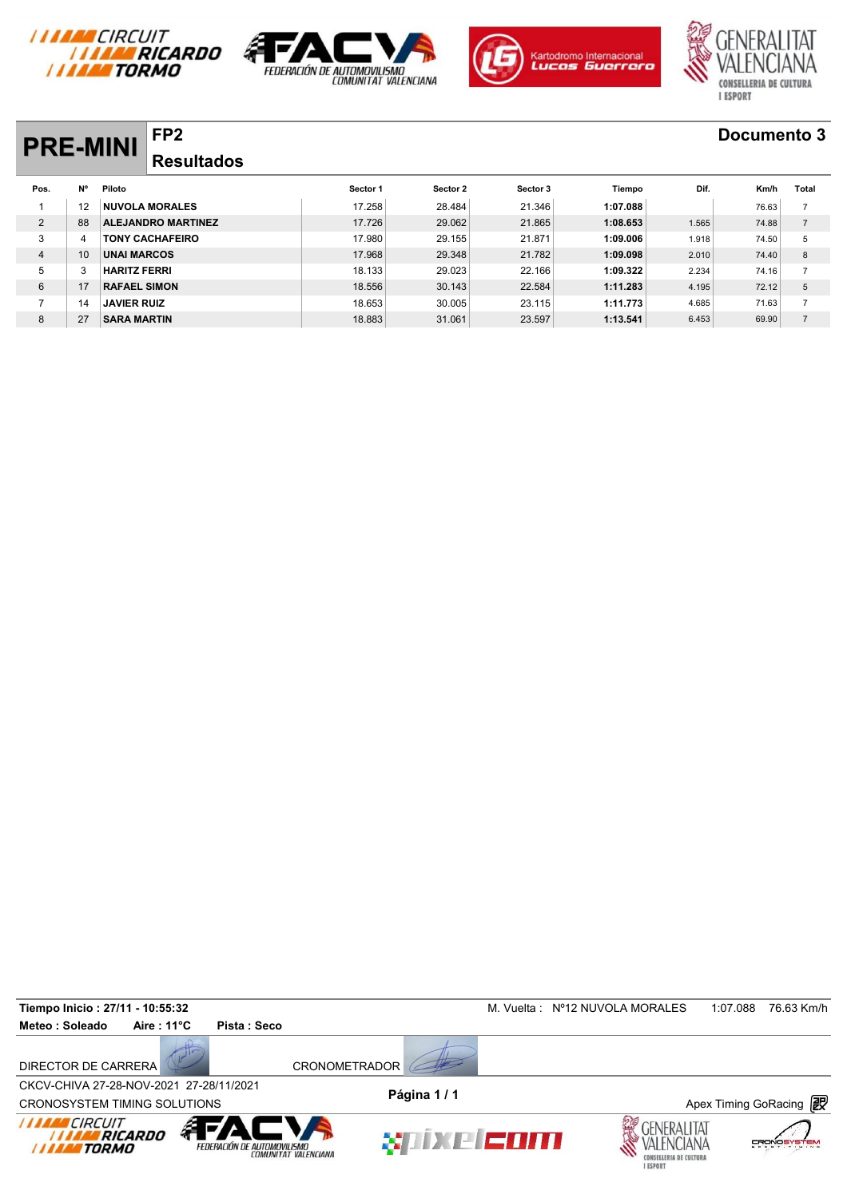







# **PRE-MINI FP2 Documento 3**

| <b>PRE-MINI</b> |           | ГF4                       |                   |          |          |          |          |       | DOCUMBILO 9 |                |
|-----------------|-----------|---------------------------|-------------------|----------|----------|----------|----------|-------|-------------|----------------|
|                 |           |                           | <b>Resultados</b> |          |          |          |          |       |             |                |
| Pos.            | <b>N°</b> | Piloto                    |                   | Sector 1 | Sector 2 | Sector 3 | Tiempo   | Dif.  | Km/h        | Total          |
|                 | 12        | <b>NUVOLA MORALES</b>     |                   | 17.258   | 28.484   | 21.346   | 1:07.088 |       | 76.63       | $\overline{7}$ |
| $\overline{2}$  | 88        | <b>ALEJANDRO MARTINEZ</b> |                   | 17.726   | 29.062   | 21.865   | 1:08.653 | 1.565 | 74.88       | $\overline{7}$ |
| 3               | 4         | <b>TONY CACHAFEIRO</b>    |                   | 17.980   | 29.155   | 21.871   | 1:09.006 | 1.918 | 74.50       | 5              |
| 4               | 10        | <b>UNAI MARCOS</b>        |                   | 17.968   | 29.348   | 21.782   | 1:09.098 | 2.010 | 74.40       | 8              |
| 5               |           | <b>HARITZ FERRI</b>       |                   | 18.133   | 29.023   | 22.166   | 1:09.322 | 2.234 | 74.16       | $\overline{7}$ |
| 6               | 17        | <b>RAFAEL SIMON</b>       |                   | 18.556   | 30.143   | 22.584   | 1:11.283 | 4.195 | 72.12       | 5              |
| $\overline{ }$  | 14        | <b>JAVIER RUIZ</b>        |                   | 18.653   | 30.005   | 23.115   | 1:11.773 | 4.685 | 71.63       | $\overline{7}$ |
| 8               | 27        | <b>SARA MARTIN</b>        |                   | 18.883   | 31.061   | 23.597   | 1:13.541 | 6.453 | 69.90       | $\overline{7}$ |

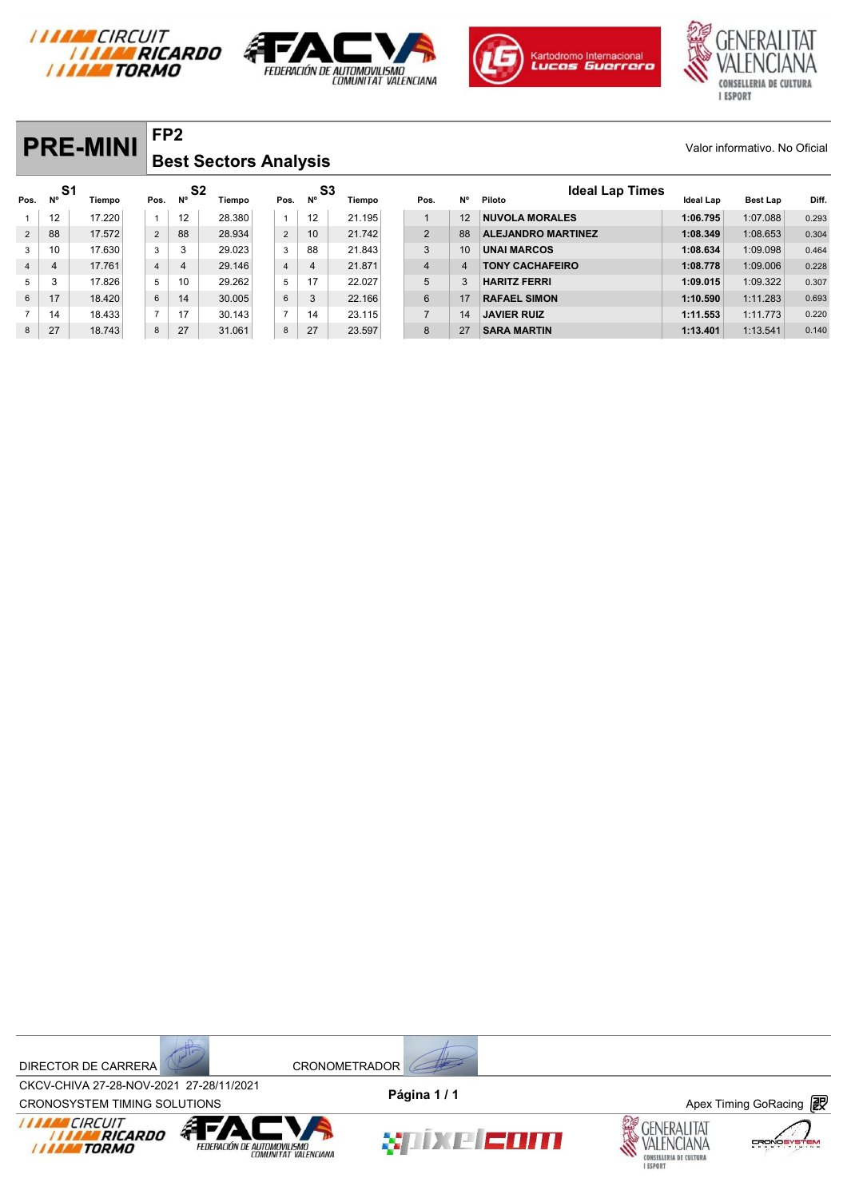







#### **PRE-MINI** FP2 **FP2 Best Sectors Analysis**

|                |          | <b>PRE-MINI</b> |                | FP <sub>2</sub>      |                              |                |    |              |                |                |                                  |                  | Valor informativo. No Oficial |       |
|----------------|----------|-----------------|----------------|----------------------|------------------------------|----------------|----|--------------|----------------|----------------|----------------------------------|------------------|-------------------------------|-------|
|                |          |                 |                |                      | <b>Best Sectors Analysis</b> |                |    |              |                |                |                                  |                  |                               |       |
| Pos.           | S1<br>Ν° | Tiempo          | Pos.           | S <sub>2</sub><br>N° | Tiempo                       | Pos.           | N° | S3<br>Tiempo | Pos.           | N°             | <b>Ideal Lap Times</b><br>Piloto | <b>Ideal Lap</b> | Best Lap                      | Diff. |
|                | 12       | 17.220          | $\mathbf{1}$   | 12                   | 28.380                       |                | 12 | 21.195       |                | 12             | <b>NUVOLA MORALES</b>            | 1:06.795         | 1:07.088                      | 0.293 |
| $\overline{2}$ | 88       | 17.572          | $\overline{2}$ | 88                   | 28.934                       | $\overline{2}$ | 10 | 21.742       | $\overline{2}$ | 88             | <b>ALEJANDRO MARTINEZ</b>        | 1:08.349         | 1:08.653                      | 0.304 |
| 3              | 10       | 17.630          | 3              | 3                    | 29.023                       | 3              | 88 | 21.843       | 3              | 10             | <b>UNAI MARCOS</b>               | 1:08.634         | 1:09.098                      | 0.464 |
| $\overline{4}$ | 4        | 17.761          | 4              | 4                    | 29.146                       | $\overline{4}$ | 4  | 21.871       | $\overline{4}$ | $\overline{4}$ | <b>TONY CACHAFEIRO</b>           | 1:08.778         | 1:09.006                      | 0.228 |
| 5              | 3        | 17.826          | 5              | 10                   | 29.262                       | 5              | 17 | 22.027       | 5              | 3              | <b>HARITZ FERRI</b>              | 1:09.015         | 1:09.322                      | 0.307 |
| 6              | 17       | 18.420          | 6              | 14                   | 30.005                       | 6              | 3  | 22.166       | $6\phantom{1}$ | 17             | <b>RAFAEL SIMON</b>              | 1:10.590         | 1:11.283                      | 0.693 |
| $\overline{7}$ | 14       | 18.433          | $\overline{7}$ | 17                   | 30.143                       | $\overline{7}$ | 14 | 23.115       | $\overline{7}$ | 14             | <b>JAVIER RUIZ</b>               | 1:11.553         | 1:11.773                      | 0.220 |
| 8              | 27       | 18.743          | 8              | 27                   | 31.061                       | 8              | 27 | 23.597       | 8              | 27             | <b>SARA MARTIN</b>               | 1:13.401         | 1:13.541                      | 0.140 |

DIRECTOR DE CARRERA CRONOMETRADOR



CROV-CHIVA 27-20-NOV-2021 27-20711/2021<br>CRONOSYSTEM TIMING SOLUTIONS **Apex Timing GoRacing** CKCV-CHIVA 27-28-NOV-2021 27-28/11/2021









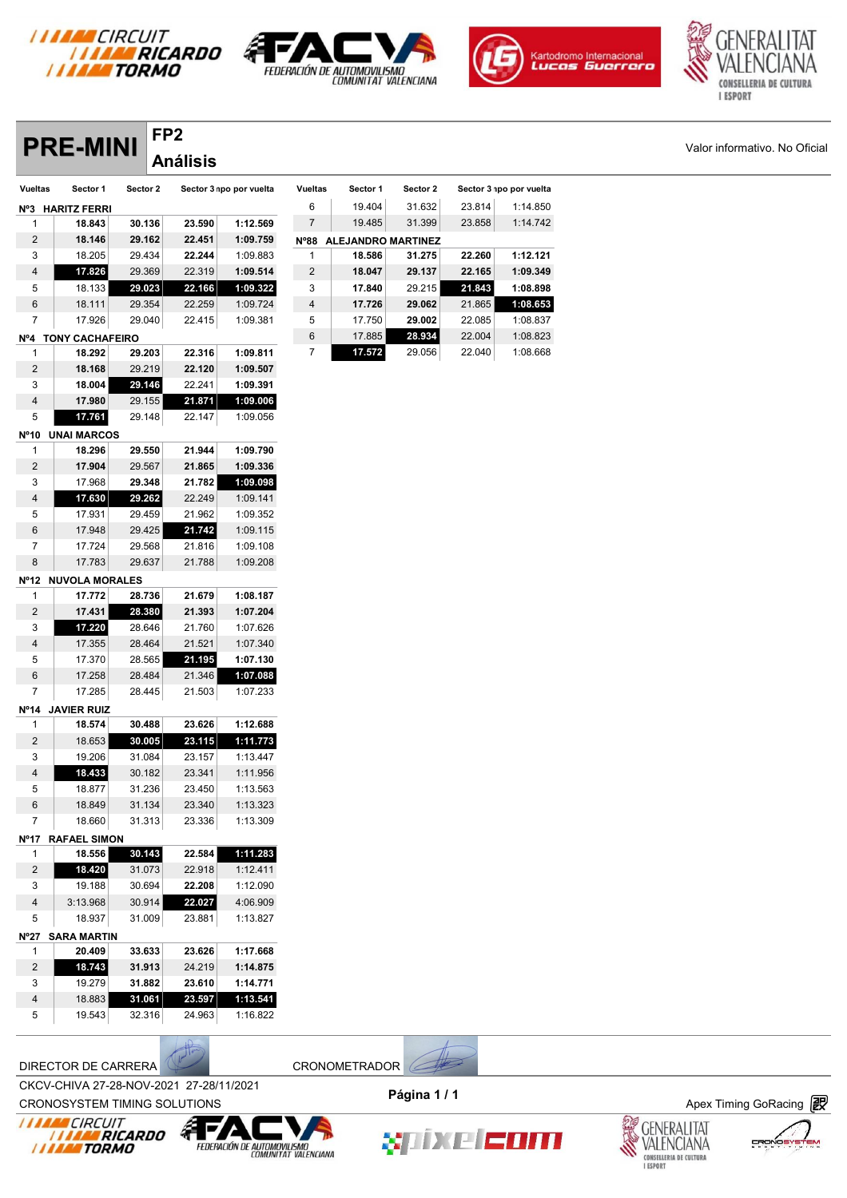

**FP2**







|                     | <b>PRE-MINI</b>       | ГГZ      | <b>Análisis</b> |                         |                |                           |          |        |                         | Valor informativo. No Oficial |
|---------------------|-----------------------|----------|-----------------|-------------------------|----------------|---------------------------|----------|--------|-------------------------|-------------------------------|
| <b>Vueltas</b>      | Sector 1              | Sector 2 |                 | Sector 3 npo por vuelta | <b>Vueltas</b> | Sector 1                  | Sector 2 |        | Sector 3 npo por vuelta |                               |
|                     | Nº3 HARITZ FERRI      |          |                 |                         | 6              | 19.404                    | 31.632   | 23.814 | 1:14.850                |                               |
| -1                  | 18.843                | 30.136   | 23.590          | 1:12.569                | $\overline{7}$ | 19.485                    | 31.399   | 23.858 | 1:14.742                |                               |
| $\overline{2}$      | 18.146                | 29.162   | 22.451          | 1:09.759                | $N^o 88$       | <b>ALEJANDRO MARTINEZ</b> |          |        |                         |                               |
| 3                   | 18.205                | 29.434   | 22.244          | 1:09.883                | 1              | 18.586                    | 31.275   | 22.260 | 1:12.121                |                               |
| 4                   | 17.826                | 29.369   | 22.319          | 1:09.514                | $\overline{c}$ | 18.047                    | 29.137   | 22.165 | 1:09.349                |                               |
| 5                   | 18.133                | 29.023   | 22.166          | 1:09.322                | 3              | 17.840                    | 29.215   | 21.843 | 1:08.898                |                               |
| 6                   | 18.111                | 29.354   | 22.259          | 1:09.724                | 4              | 17.726                    | 29.062   | 21.865 | 1:08.653                |                               |
| $\overline{7}$      | 17.926                | 29.040   | 22.415          | 1:09.381                | 5              | 17.750                    | 29.002   | 22.085 | 1:08.837                |                               |
|                     | Nº4 TONY CACHAFEIRO   |          |                 |                         | 6              | 17.885                    | 28.934   | 22.004 | 1:08.823                |                               |
| -1                  | 18.292                | 29.203   | 22.316          | 1:09.811                | $\overline{7}$ | 17.572                    | 29.056   | 22.040 | 1:08.668                |                               |
| 2                   | 18.168                | 29.219   | 22.120          | 1:09.507                |                |                           |          |        |                         |                               |
| 3                   | 18.004                | 29.146   | 22.241          | 1:09.391                |                |                           |          |        |                         |                               |
| 4                   | 17.980                | 29.155   | 21.871          | 1:09.006                |                |                           |          |        |                         |                               |
| 5                   | 17.761                | 29.148   | 22.147          | 1:09.056                |                |                           |          |        |                         |                               |
|                     | Nº10 UNAI MARCOS      |          |                 |                         |                |                           |          |        |                         |                               |
| -1                  | 18.296                | 29.550   | 21.944          | 1:09.790                |                |                           |          |        |                         |                               |
| $\overline{2}$      | 17.904                | 29.567   | 21.865          | 1:09.336                |                |                           |          |        |                         |                               |
| 3                   | 17.968                | 29.348   | 21.782          | 1:09.098                |                |                           |          |        |                         |                               |
| 4                   | 17.630                | 29.262   | 22.249          | 1:09.141                |                |                           |          |        |                         |                               |
| 5                   | 17.931                | 29.459   | 21.962          | 1:09.352                |                |                           |          |        |                         |                               |
| 6                   | 17.948                | 29.425   | 21.742          | 1:09.115                |                |                           |          |        |                         |                               |
| $\overline{7}$      | 17.724                | 29.568   | 21.816          | 1:09.108                |                |                           |          |        |                         |                               |
| 8                   | 17.783                | 29.637   | 21.788          | 1:09.208                |                |                           |          |        |                         |                               |
| Nº12                | <b>NUVOLA MORALES</b> |          |                 |                         |                |                           |          |        |                         |                               |
| $\mathbf{1}$        | 17.772                | 28.736   | 21.679          | 1:08.187                |                |                           |          |        |                         |                               |
| $\overline{2}$      | 17.431                | 28.380   | 21.393          | 1:07.204                |                |                           |          |        |                         |                               |
| 3                   | 17.220                | 28.646   | 21.760          | 1:07.626                |                |                           |          |        |                         |                               |
| 4                   | 17.355                | 28.464   | 21.521          | 1:07.340                |                |                           |          |        |                         |                               |
| 5                   | 17.370                | 28.565   | 21.195          | 1:07.130                |                |                           |          |        |                         |                               |
| 6<br>$\overline{7}$ | 17.258<br>17.285      | 28.484   | 21.346          | 1:07.088                |                |                           |          |        |                         |                               |
|                     |                       | 28.445   | 21.503          | 1:07.233                |                |                           |          |        |                         |                               |
| 1                   | Nº14 JAVIER RUIZ      | 30.488   | 23.626          | 1:12.688                |                |                           |          |        |                         |                               |
| $\overline{2}$      | 18.574<br>18.653      | 30.005   | 23.115          | 1:11.773                |                |                           |          |        |                         |                               |
| 3                   | 19.206                | 31.084   | 23.157          | 1:13.447                |                |                           |          |        |                         |                               |
| $\overline{4}$      | 18.433                | 30.182   | 23.341          | 1:11.956                |                |                           |          |        |                         |                               |
| 5                   | 18.877                | 31.236   | 23.450          | 1:13.563                |                |                           |          |        |                         |                               |
| 6                   | 18.849                | 31.134   | 23.340          | 1:13.323                |                |                           |          |        |                         |                               |
| 7                   | 18.660                | 31.313   | 23.336          | 1:13.309                |                |                           |          |        |                         |                               |
|                     | Nº17 RAFAEL SIMON     |          |                 |                         |                |                           |          |        |                         |                               |
| $\mathbf{1}$        | 18.556                | 30.143   | 22.584          | 1:11.283                |                |                           |          |        |                         |                               |
| $\overline{2}$      | 18.420                | 31.073   | 22.918          | 1:12.411                |                |                           |          |        |                         |                               |
| 3                   | 19.188                | 30.694   | 22.208          | 1:12.090                |                |                           |          |        |                         |                               |
| 4                   | 3:13.968              | 30.914   | 22.027          | 4:06.909                |                |                           |          |        |                         |                               |
| 5                   | 18.937                | 31.009   | 23.881          | 1:13.827                |                |                           |          |        |                         |                               |
|                     | Nº27 SARA MARTIN      |          |                 |                         |                |                           |          |        |                         |                               |
| 1                   | 20.409                | 33.633   | 23.626          | 1:17.668                |                |                           |          |        |                         |                               |
| $\overline{2}$      | 18.743                | 31.913   | 24.219          | 1:14.875                |                |                           |          |        |                         |                               |
| 3                   | 19.279                | 31.882   | 23.610          | 1:14.771                |                |                           |          |        |                         |                               |
| $\overline{4}$      | 18.883                | 31.061   | 23.597          | 1:13.541                |                |                           |          |        |                         |                               |
|                     | 19.543                | 32.316   | 24.963          | 1:16.822                |                |                           |          |        |                         |                               |

| <b>Vueltas</b> | Sector 1                  | Sector 2 |        | Sector 3 npo por vuelta |
|----------------|---------------------------|----------|--------|-------------------------|
| 6              | 19.404                    | 31.632   | 23.814 | 1:14.850                |
| 7              | 19.485                    | 31.399   | 23.858 | 1:14.742                |
| $N^o 88$       | <b>ALEJANDRO MARTINEZ</b> |          |        |                         |
| 1              | 18.586                    | 31.275   | 22.260 | 1:12.121                |
| 2              | 18.047                    | 29.137   | 22.165 | 1:09.349                |
| 3              | 17.840                    | 29.215   | 21.843 | 1:08.898                |
| $\overline{4}$ | 17.726                    | 29.062   | 21.865 | 1:08.653                |
| 5              | 17.750                    | 29.002   | 22.085 | 1:08.837                |
| 6              | 17.885                    | 28.934   | 22.004 | 1:08.823                |
| 7              | 17.572                    | 29.056   | 22.040 | 1:08.668                |

CROV-CHIVA 27-20-NOV-2021 27-20711/2021<br>CRONOSYSTEM TIMING SOLUTIONS **Apex Timing GoRacing** CKCV-CHIVA 27-28-NOV-2021 27-28/11/2021 **Página 1 / 1**







XIIXE EOM



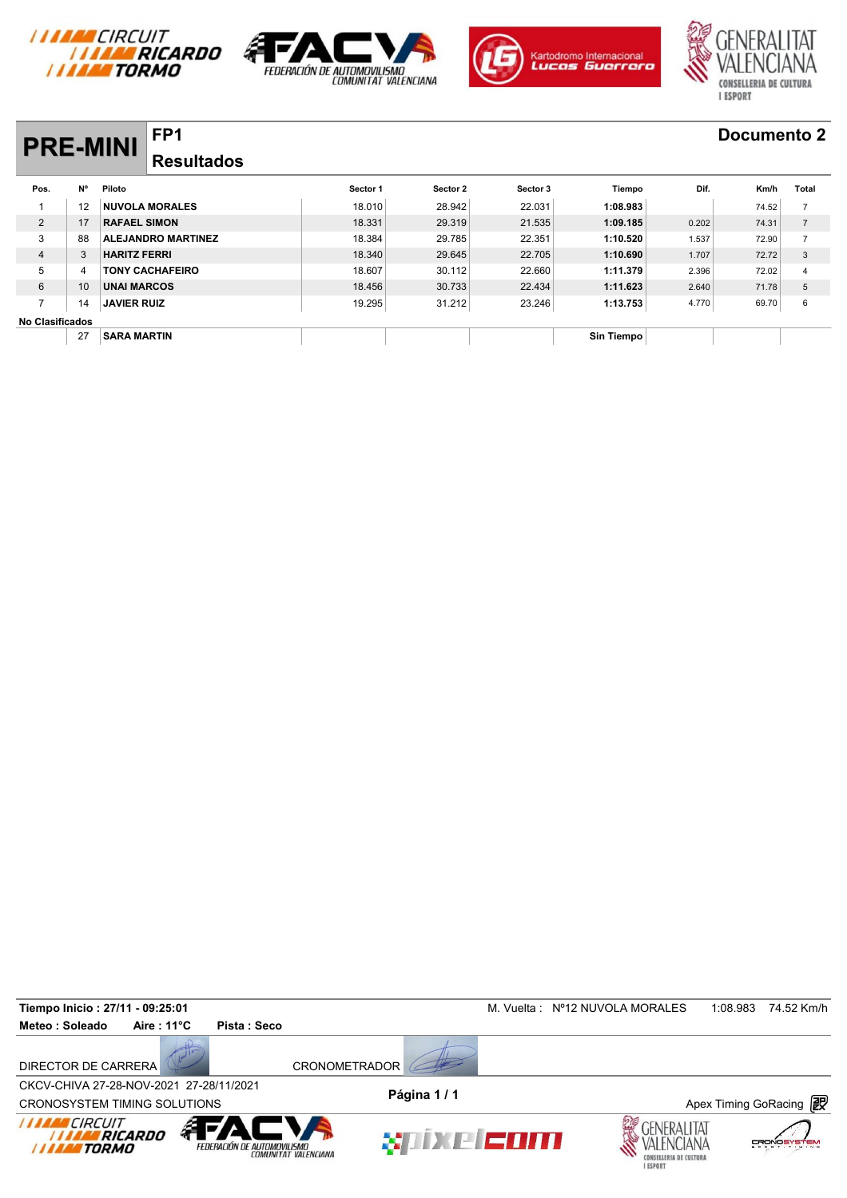







# **PRE-MINI FP1 Documento 2**

## **Resultados**

| <b>PRE-MINI</b>        |                 | FF L                      |          |          |          |                   |       | DOCUMENTO 2 |                |
|------------------------|-----------------|---------------------------|----------|----------|----------|-------------------|-------|-------------|----------------|
|                        |                 | <b>Resultados</b>         |          |          |          |                   |       |             |                |
| Pos.                   | N°              | Piloto                    | Sector 1 | Sector 2 | Sector 3 | Tiempo            | Dif.  | Km/h        | Total          |
|                        | 12              | <b>NUVOLA MORALES</b>     | 18.010   | 28.942   | 22.031   | 1:08.983          |       | 74.52       | $\overline{7}$ |
| 2                      | 17              | <b>RAFAEL SIMON</b>       | 18.331   | 29.319   | 21.535   | 1:09.185          | 0.202 | 74.31       | $\overline{7}$ |
| 3                      | 88              | <b>ALEJANDRO MARTINEZ</b> | 18.384   | 29.785   | 22.351   | 1:10.520          | 1.537 | 72.90       | $\overline{ }$ |
| $\overline{4}$         | 3               | <b>HARITZ FERRI</b>       | 18,340   | 29.645   | 22.705   | 1:10.690          | 1.707 | 72.72       | 3              |
| 5                      | 4               | <b>TONY CACHAFEIRO</b>    | 18.607   | 30.112   | 22.660   | 1:11.379          | 2.396 | 72.02       | 4              |
| 6                      | 10 <sup>°</sup> | <b>UNAI MARCOS</b>        | 18.456   | 30.733   | 22.434   | 1:11.623          | 2.640 | 71.78       | 5              |
| $\overline{ }$         | 14              | <b>JAVIER RUIZ</b>        | 19.295   | 31.212   | 23.246   | 1:13.753          | 4.770 | 69.70       | 6              |
| <b>No Clasificados</b> |                 |                           |          |          |          |                   |       |             |                |
|                        | 27              | <b>SARA MARTIN</b>        |          |          |          | <b>Sin Tiempo</b> |       |             |                |

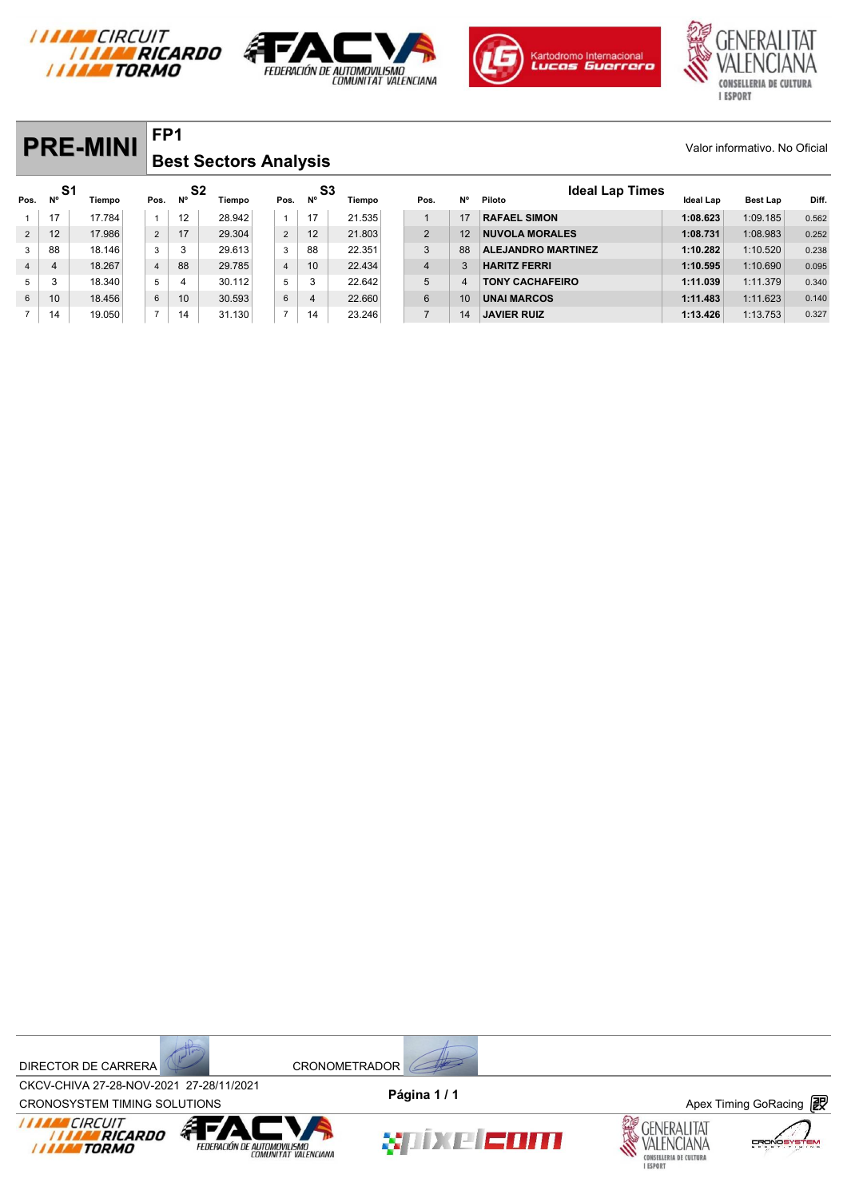







#### **PRE-MINI** FP1 Valor informativo. No Oficial **FP1 Best Sectors Analysis**

|                |           | <b>PRE-MINI</b> | FP <sub>1</sub> |                             |                              |                |          |        |                |    |                                  |           | Valor informativo. No Oficial |       |
|----------------|-----------|-----------------|-----------------|-----------------------------|------------------------------|----------------|----------|--------|----------------|----|----------------------------------|-----------|-------------------------------|-------|
|                |           |                 |                 |                             | <b>Best Sectors Analysis</b> |                |          |        |                |    |                                  |           |                               |       |
| Pos.           | -S1<br>N° | <b>Tiempo</b>   | Pos.            | S <sub>2</sub><br><b>N°</b> | Tiempo                       | Pos.           | S3<br>N° | Tiempo | Pos.           | N° | <b>Ideal Lap Times</b><br>Piloto | Ideal Lap | Best Lap                      | Diff. |
| 1              | 17        | 17.784          | $\overline{1}$  | 12                          | 28.942                       | $\mathbf{1}$   | 17       | 21.535 |                | 17 | <b>RAFAEL SIMON</b>              | 1:08.623  | 1:09.185                      | 0.562 |
| $\overline{2}$ | 12        | 17.986          | $\overline{2}$  | 17                          | 29.304                       | $\overline{2}$ | 12       | 21.803 | $\overline{2}$ | 12 | <b>NUVOLA MORALES</b>            | 1:08.731  | 1:08.983                      | 0.252 |
| 3              | 88        | 18.146          | 3               | 3                           | 29.613                       | 3              | 88       | 22.351 | 3              | 88 | <b>ALEJANDRO MARTINEZ</b>        | 1:10.282  | 1:10.520                      | 0.238 |
| $\overline{4}$ | 4         | 18.267          | $\overline{4}$  | 88                          | 29.785                       | $\overline{4}$ | 10       | 22.434 | $\overline{4}$ | 3  | <b>HARITZ FERRI</b>              | 1:10.595  | 1:10.690                      | 0.095 |
| 5              | 3         | 18.340          | 5               | 4                           | 30.112                       | 5              | 3        | 22.642 | 5              | 4  | <b>TONY CACHAFEIRO</b>           | 1:11.039  | 1:11.379                      | 0.340 |
| 6              | 10        | 18.456          | 6               | 10                          | 30.593                       | $\,6\,$        | 4        | 22.660 | 6              | 10 | <b>UNAI MARCOS</b>               | 1:11.483  | 1:11.623                      | 0.140 |
|                | 14        | 19.050          | $\overline{7}$  | 14                          | 31.130                       | $\overline{7}$ | 14       | 23.246 | $\overline{7}$ | 14 | <b>JAVIER RUIZ</b>               | 1:13.426  | 1:13.753                      | 0.327 |





CROV-CHIVA 27-20-NOV-2021 27-20711/2021<br>CRONOSYSTEM TIMING SOLUTIONS **Apex Timing GoRacing** CKCV-CHIVA 27-28-NOV-2021 27-28/11/2021 **Página 1 / 1**





xiixe com



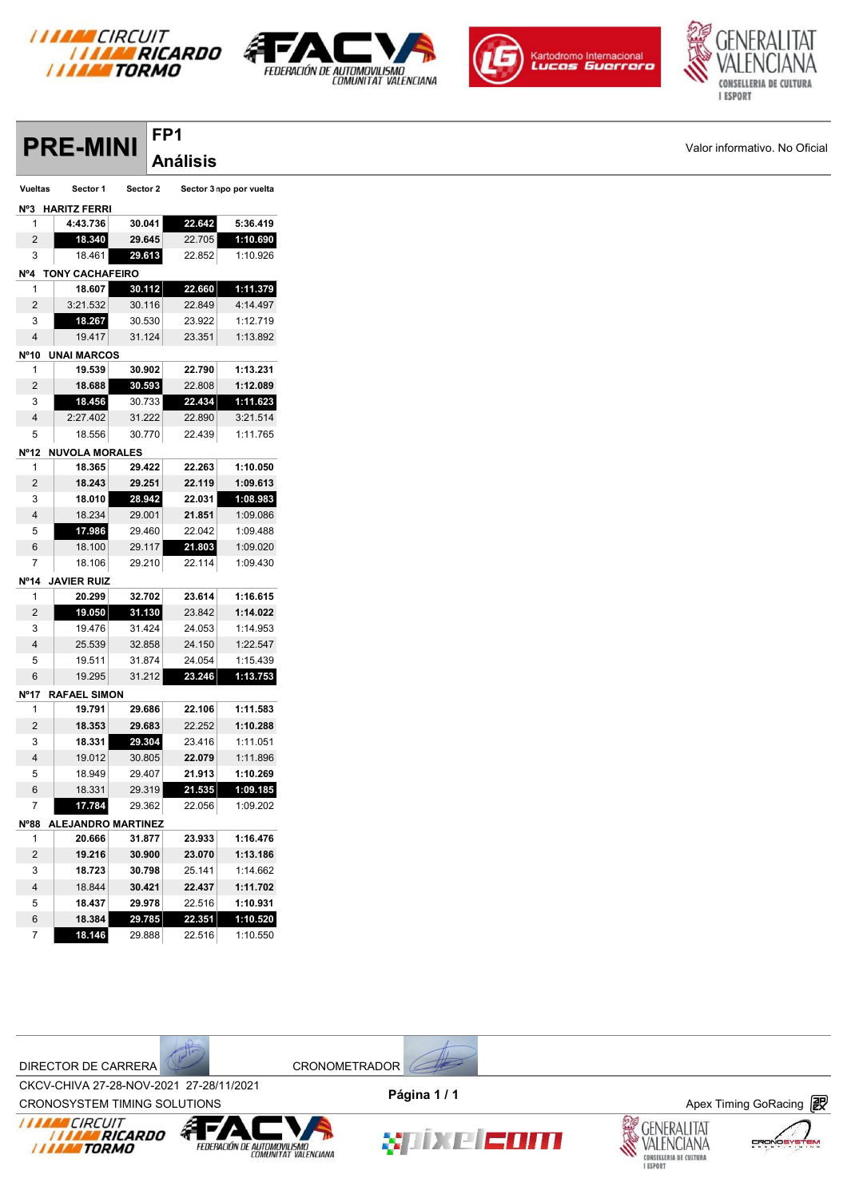

**FP1**







|                | <b>PRE-MINI</b>         |          | <u>FF L</u> | <b>Análisis</b> |                         |
|----------------|-------------------------|----------|-------------|-----------------|-------------------------|
|                |                         |          |             |                 |                         |
| Vueltas        | Sector 1                | Sector 2 |             |                 | Sector 3 npo por vuelta |
|                | Nº3 HARITZ FERRI        |          |             |                 |                         |
| 1              | 4:43.736                | 30.041   |             | 22.642          | 5:36.419                |
| 2              | 18.340                  | 29.645   |             | 22.705          | 1:10.690                |
| 3              | 18.461                  | 29.613   |             | 22.852          | 1:10.926                |
|                | Nº4 TONY CACHAFEIRO     |          |             |                 |                         |
| $\mathbf{1}$   | 18.607                  | 30.112   |             | 22.660          | 1:11.379                |
| 2              | 3:21.532                | 30.116   |             | 22.849          | 4:14.497                |
| 3              | 18.267                  | 30.530   |             | 23.922          | 1:12.719                |
| 4              | 19.417                  | 31.124   |             | 23.351          | 1:13.892                |
|                | N°10 UNAI MARCOS        |          |             |                 |                         |
| 1              | 19.539                  | 30.902   |             | 22.790          | 1:13.231                |
| 2              | 18.688                  | 30.593   |             | 22.808          | 1:12.089                |
| 3              | 18.456                  | 30.733   |             | 22.434          | 1:11.623                |
| 4              | 2:27.402                | 31.222   |             | 22.890          | 3:21.514                |
| 5              | 18.556                  | 30.770   |             | 22.439          | 1:11.765                |
|                | Nº12 NUVOLA MORALES     |          |             |                 |                         |
| 1              | 18.365                  | 29.422   |             | 22.263          | 1:10.050                |
| $\overline{2}$ | 18.243                  | 29.251   |             | 22.119          | 1:09.613                |
| 3              | 18.010                  | 28.942   |             | 22.031          | 1:08.983                |
| 4              | 18.234                  | 29.001   |             | 21.851          | 1:09.086                |
| 5              | 17.986                  | 29.460   |             | 22.042          | 1:09.488                |
| 6              | 18.100                  | 29.117   |             | 21.803          | 1:09.020                |
| 7              | 18.106                  | 29.210   |             | 22.114          | 1:09.430                |
|                | N°14 JAVIER RUIZ        |          |             |                 |                         |
| 1              | 20.299                  | 32.702   |             | 23.614          | 1:16.615                |
| 2              | 19.050                  | 31.130   |             | 23.842          | 1:14.022                |
| 3              | 19.476                  | 31.424   |             | 24.053          | 1:14.953                |
| 4              | 25.539                  | 32.858   |             | 24.150          | 1:22.547                |
| 5              | 19.511                  | 31.874   |             | 24.054          | 1:15.439                |
| 6              | 19.295                  | 31.212   |             | 23.246          | 1:13.753                |
|                | Nº17 RAFAEL SIMON       |          |             |                 |                         |
| $\mathbf{1}$   | 19.791                  | 29.686   |             | 22.106          | 1:11.583                |
| 2              | 18.353                  | 29.683   |             | 22.252          | 1:10.288                |
| 3              | 18.331                  | 29.304   |             | 23.416          | 1:11.051                |
| 4              | 19.012                  | 30.805   |             | 22.079          | 1:11.896                |
| 5              | 18.949                  | 29.407   |             | 21.913          | 1:10.269                |
| 6              | 18.331                  | 29.319   |             | 21.535          | 1:09.185                |
| $\overline{7}$ | 17.784                  | 29.362   |             | 22.056          | 1:09.202                |
|                | Nº88 ALEJANDRO MARTINEZ |          |             |                 |                         |
| $\mathbf{1}$   | 20.666                  | 31.877   |             | 23.933          | 1:16.476                |
| $\overline{c}$ | 19.216                  | 30.900   |             | 23.070          | 1:13.186                |
| 3              | 18.723                  | 30.798   |             | 25.141          | 1:14.662                |
| 4              | 18.844                  | 30.421   |             | 22.437          | 1:11.702                |
| 5              | 18.437                  | 29.978   |             | 22.516          | 1:10.931                |
| 6              | 18.384                  | 29.785   |             | 22.351          | 1:10.520                |
| $\overline{7}$ | 18.146                  | 29.888   |             | 22.516          | 1:10.550                |



CROV-CHIVA 27-20-NOV-2021 27-20711/2021<br>CRONOSYSTEM TIMING SOLUTIONS **Apex Timing GoRacing** CKCV-CHIVA 27-28-NOV-2021 27-28/11/2021